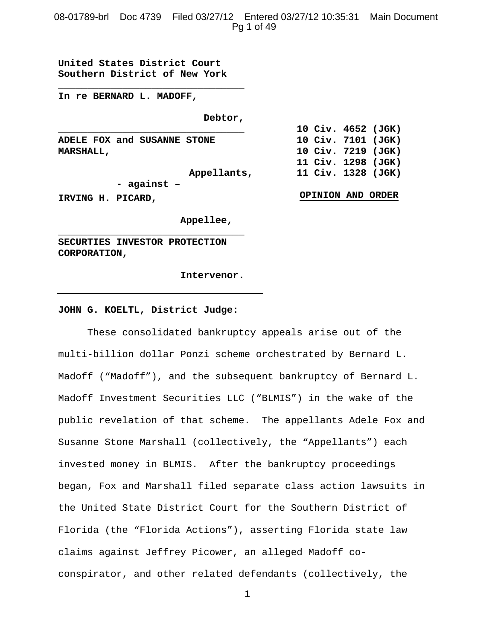# 08-01789-brl Doc 4739 Filed 03/27/12 Entered 03/27/12 10:35:31 Main Document Pg 1 of 49

**United States District Court Southern District of New York**

**\_\_\_\_\_\_\_\_\_\_\_\_\_\_\_\_\_\_\_\_\_\_\_\_\_\_\_\_\_\_\_\_**

**In re BERNARD L. MADOFF,**

**Debtor,** 

**\_\_\_\_\_\_\_\_\_\_\_\_\_\_\_\_\_\_\_\_\_\_\_\_\_\_\_\_\_\_\_\_ ADELE FOX and SUSANNE STONE MARSHALL,**

**Appellants,**

**10 Civ. 7101 (JGK) 10 Civ. 7219 (JGK) 11 Civ. 1298 (JGK) 11 Civ. 1328 (JGK)**

**OPINION AND ORDER**

**10 Civ. 4652 (JGK)**

**IRVING H. PICARD,**

 **Appellee,**

**SECURTIES INVESTOR PROTECTION CORPORATION,**

**\_\_\_\_\_\_\_\_\_\_\_\_\_\_\_\_\_\_\_\_\_\_\_\_\_\_\_\_\_\_\_\_**

**- against –**

 **Intervenor.**

#### **JOHN G. KOELTL, District Judge:**

These consolidated bankruptcy appeals arise out of the multi-billion dollar Ponzi scheme orchestrated by Bernard L. Madoff ("Madoff"), and the subsequent bankruptcy of Bernard L. Madoff Investment Securities LLC ("BLMIS") in the wake of the public revelation of that scheme. The appellants Adele Fox and Susanne Stone Marshall (collectively, the "Appellants") each invested money in BLMIS. After the bankruptcy proceedings began, Fox and Marshall filed separate class action lawsuits in the United State District Court for the Southern District of Florida (the "Florida Actions"), asserting Florida state law claims against Jeffrey Picower, an alleged Madoff coconspirator, and other related defendants (collectively, the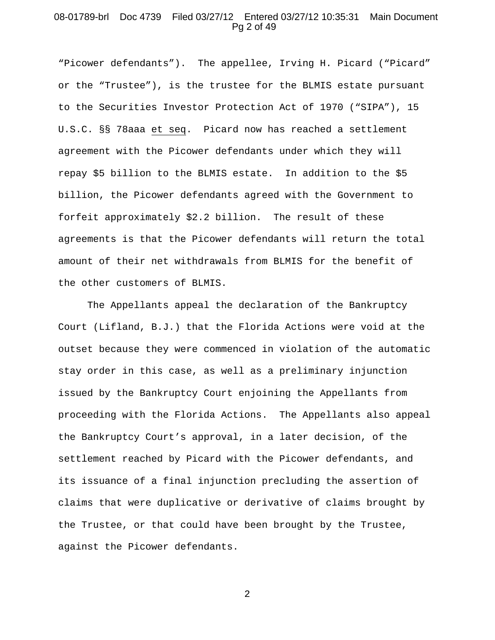## 08-01789-brl Doc 4739 Filed 03/27/12 Entered 03/27/12 10:35:31 Main Document Pg 2 of 49

"Picower defendants"). The appellee, Irving H. Picard ("Picard" or the "Trustee"), is the trustee for the BLMIS estate pursuant to the Securities Investor Protection Act of 1970 ("SIPA"), 15 U.S.C. §§ 78aaa et seq. Picard now has reached a settlement agreement with the Picower defendants under which they will repay \$5 billion to the BLMIS estate. In addition to the \$5 billion, the Picower defendants agreed with the Government to forfeit approximately \$2.2 billion. The result of these agreements is that the Picower defendants will return the total amount of their net withdrawals from BLMIS for the benefit of the other customers of BLMIS.

The Appellants appeal the declaration of the Bankruptcy Court (Lifland, B.J.) that the Florida Actions were void at the outset because they were commenced in violation of the automatic stay order in this case, as well as a preliminary injunction issued by the Bankruptcy Court enjoining the Appellants from proceeding with the Florida Actions. The Appellants also appeal the Bankruptcy Court's approval, in a later decision, of the settlement reached by Picard with the Picower defendants, and its issuance of a final injunction precluding the assertion of claims that were duplicative or derivative of claims brought by the Trustee, or that could have been brought by the Trustee, against the Picower defendants.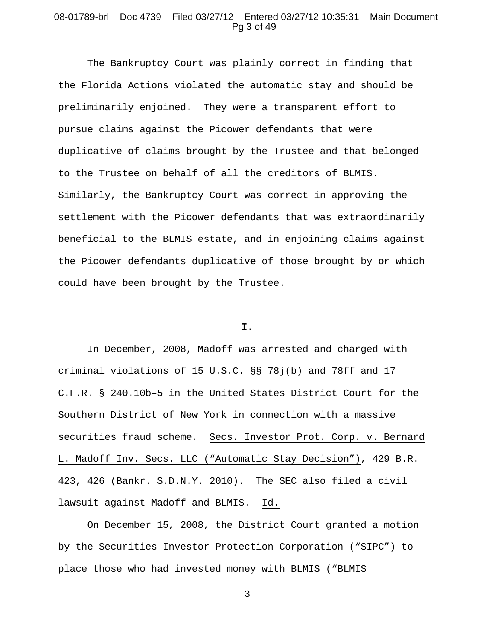## 08-01789-brl Doc 4739 Filed 03/27/12 Entered 03/27/12 10:35:31 Main Document Pg 3 of 49

The Bankruptcy Court was plainly correct in finding that the Florida Actions violated the automatic stay and should be preliminarily enjoined. They were a transparent effort to pursue claims against the Picower defendants that were duplicative of claims brought by the Trustee and that belonged to the Trustee on behalf of all the creditors of BLMIS. Similarly, the Bankruptcy Court was correct in approving the settlement with the Picower defendants that was extraordinarily beneficial to the BLMIS estate, and in enjoining claims against the Picower defendants duplicative of those brought by or which could have been brought by the Trustee.

#### **I.**

In December, 2008, Madoff was arrested and charged with criminal violations of 15 U.S.C. §§ 78j(b) and 78ff and 17 C.F.R. § 240.10b–5 in the United States District Court for the Southern District of New York in connection with a massive securities fraud scheme. Secs. Investor Prot. Corp. v. Bernard L. Madoff Inv. Secs. LLC ("Automatic Stay Decision"), 429 B.R. 423, 426 (Bankr. S.D.N.Y. 2010). The SEC also filed a civil lawsuit against Madoff and BLMIS. Id.

On December 15, 2008, the District Court granted a motion by the Securities Investor Protection Corporation ("SIPC") to place those who had invested money with BLMIS ("BLMIS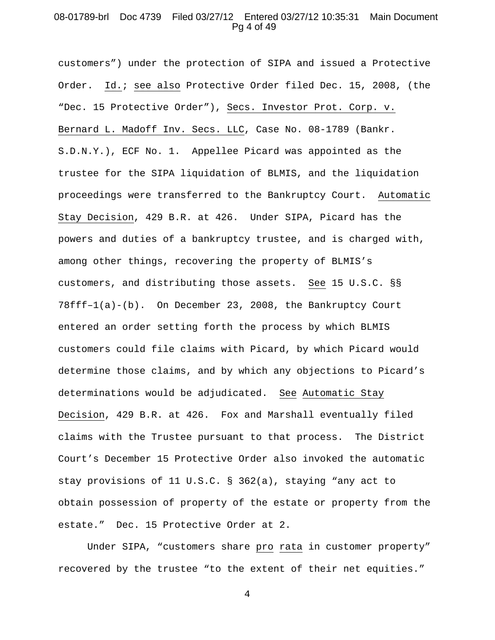# 08-01789-brl Doc 4739 Filed 03/27/12 Entered 03/27/12 10:35:31 Main Document Pg 4 of 49

customers") under the protection of SIPA and issued a Protective Order. Id.; see also Protective Order filed Dec. 15, 2008, (the "Dec. 15 Protective Order"), Secs. Investor Prot. Corp. v. Bernard L. Madoff Inv. Secs. LLC, Case No. 08-1789 (Bankr. S.D.N.Y.), ECF No. 1. Appellee Picard was appointed as the trustee for the SIPA liquidation of BLMIS, and the liquidation proceedings were transferred to the Bankruptcy Court. Automatic Stay Decision, 429 B.R. at 426. Under SIPA, Picard has the powers and duties of a bankruptcy trustee, and is charged with, among other things, recovering the property of BLMIS's customers, and distributing those assets. See 15 U.S.C. §§ 78fff–1(a)-(b). On December 23, 2008, the Bankruptcy Court entered an order setting forth the process by which BLMIS customers could file claims with Picard, by which Picard would determine those claims, and by which any objections to Picard's determinations would be adjudicated. See Automatic Stay Decision, 429 B.R. at 426. Fox and Marshall eventually filed claims with the Trustee pursuant to that process. The District Court's December 15 Protective Order also invoked the automatic stay provisions of 11 U.S.C. § 362(a), staying "any act to obtain possession of property of the estate or property from the estate." Dec. 15 Protective Order at 2.

Under SIPA, "customers share pro rata in customer property" recovered by the trustee "to the extent of their net equities."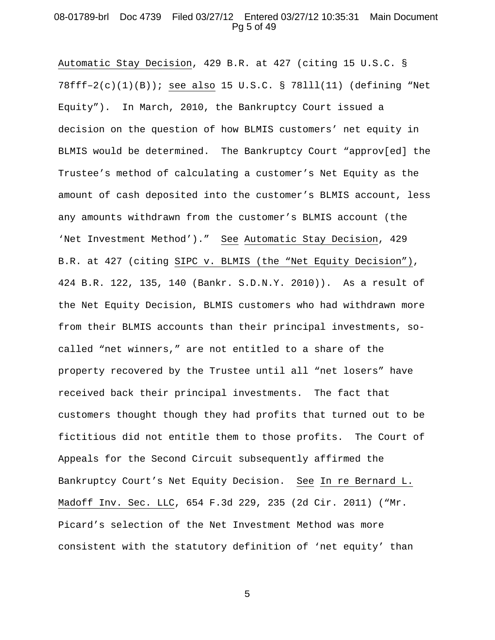# 08-01789-brl Doc 4739 Filed 03/27/12 Entered 03/27/12 10:35:31 Main Document Pg 5 of 49

Automatic Stay Decision, 429 B.R. at 427 (citing 15 U.S.C. § 78fff–2(c)(1)(B)); see also 15 U.S.C. § 78lll(11) (defining "Net Equity"). In March, 2010, the Bankruptcy Court issued a decision on the question of how BLMIS customers' net equity in BLMIS would be determined. The Bankruptcy Court "approv[ed] the Trustee's method of calculating a customer's Net Equity as the amount of cash deposited into the customer's BLMIS account, less any amounts withdrawn from the customer's BLMIS account (the 'Net Investment Method')." See Automatic Stay Decision, 429 B.R. at 427 (citing SIPC v. BLMIS (the "Net Equity Decision"), 424 B.R. 122, 135, 140 (Bankr. S.D.N.Y. 2010)). As a result of the Net Equity Decision, BLMIS customers who had withdrawn more from their BLMIS accounts than their principal investments, socalled "net winners," are not entitled to a share of the property recovered by the Trustee until all "net losers" have received back their principal investments. The fact that customers thought though they had profits that turned out to be fictitious did not entitle them to those profits. The Court of Appeals for the Second Circuit subsequently affirmed the Bankruptcy Court's Net Equity Decision. See In re Bernard L. Madoff Inv. Sec. LLC, 654 F.3d 229, 235 (2d Cir. 2011) ("Mr. Picard's selection of the Net Investment Method was more consistent with the statutory definition of 'net equity' than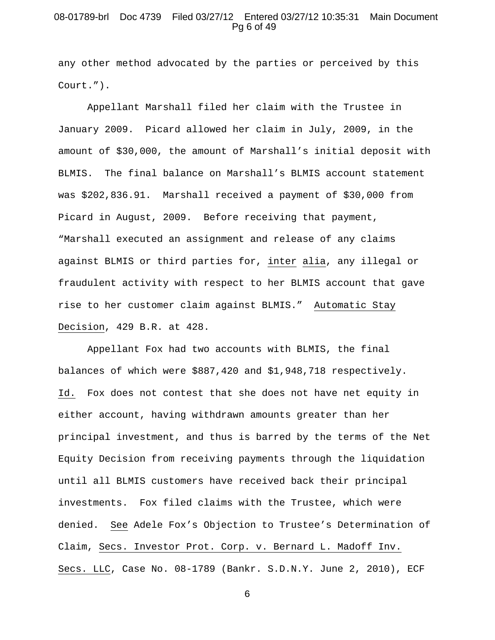# 08-01789-brl Doc 4739 Filed 03/27/12 Entered 03/27/12 10:35:31 Main Document Pg 6 of 49

any other method advocated by the parties or perceived by this Court.").

Appellant Marshall filed her claim with the Trustee in January 2009. Picard allowed her claim in July, 2009, in the amount of \$30,000, the amount of Marshall's initial deposit with BLMIS. The final balance on Marshall's BLMIS account statement was \$202,836.91. Marshall received a payment of \$30,000 from Picard in August, 2009. Before receiving that payment, "Marshall executed an assignment and release of any claims against BLMIS or third parties for, inter alia, any illegal or fraudulent activity with respect to her BLMIS account that gave rise to her customer claim against BLMIS." Automatic Stay Decision, 429 B.R. at 428.

Appellant Fox had two accounts with BLMIS, the final balances of which were \$887,420 and \$1,948,718 respectively. Id. Fox does not contest that she does not have net equity in either account, having withdrawn amounts greater than her principal investment, and thus is barred by the terms of the Net Equity Decision from receiving payments through the liquidation until all BLMIS customers have received back their principal investments. Fox filed claims with the Trustee, which were denied. See Adele Fox's Objection to Trustee's Determination of Claim, Secs. Investor Prot. Corp. v. Bernard L. Madoff Inv. Secs. LLC, Case No. 08-1789 (Bankr. S.D.N.Y. June 2, 2010), ECF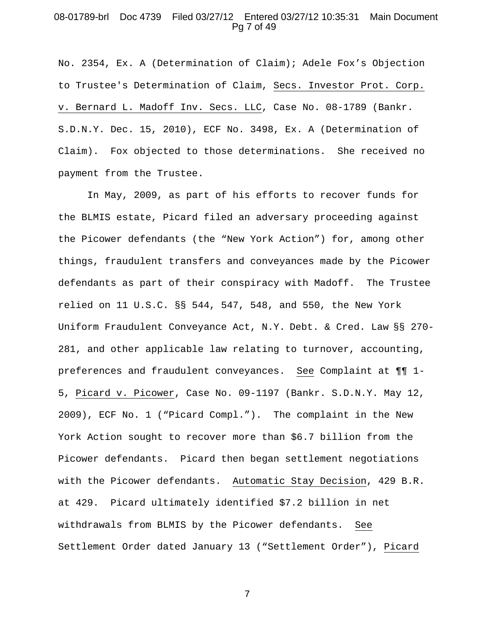# 08-01789-brl Doc 4739 Filed 03/27/12 Entered 03/27/12 10:35:31 Main Document Pg 7 of 49

No. 2354, Ex. A (Determination of Claim); Adele Fox's Objection to Trustee's Determination of Claim, Secs. Investor Prot. Corp. v. Bernard L. Madoff Inv. Secs. LLC, Case No. 08-1789 (Bankr. S.D.N.Y. Dec. 15, 2010), ECF No. 3498, Ex. A (Determination of Claim). Fox objected to those determinations. She received no payment from the Trustee.

In May, 2009, as part of his efforts to recover funds for the BLMIS estate, Picard filed an adversary proceeding against the Picower defendants (the "New York Action") for, among other things, fraudulent transfers and conveyances made by the Picower defendants as part of their conspiracy with Madoff. The Trustee relied on 11 U.S.C. §§ 544, 547, 548, and 550, the New York Uniform Fraudulent Conveyance Act, N.Y. Debt. & Cred. Law §§ 270- 281, and other applicable law relating to turnover, accounting, preferences and fraudulent conveyances. See Complaint at ¶¶ 1- 5, Picard v. Picower, Case No. 09-1197 (Bankr. S.D.N.Y. May 12, 2009), ECF No. 1 ("Picard Compl."). The complaint in the New York Action sought to recover more than \$6.7 billion from the Picower defendants. Picard then began settlement negotiations with the Picower defendants. Automatic Stay Decision, 429 B.R. at 429. Picard ultimately identified \$7.2 billion in net withdrawals from BLMIS by the Picower defendants. See Settlement Order dated January 13 ("Settlement Order"), Picard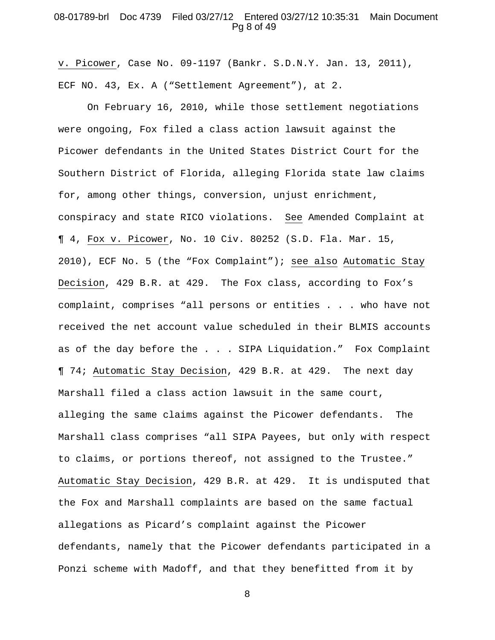### 08-01789-brl Doc 4739 Filed 03/27/12 Entered 03/27/12 10:35:31 Main Document Pg 8 of 49

v. Picower, Case No. 09-1197 (Bankr. S.D.N.Y. Jan. 13, 2011), ECF NO. 43, Ex. A ("Settlement Agreement"), at 2.

On February 16, 2010, while those settlement negotiations were ongoing, Fox filed a class action lawsuit against the Picower defendants in the United States District Court for the Southern District of Florida, alleging Florida state law claims for, among other things, conversion, unjust enrichment, conspiracy and state RICO violations. See Amended Complaint at ¶ 4, Fox v. Picower, No. 10 Civ. 80252 (S.D. Fla. Mar. 15, 2010), ECF No. 5 (the "Fox Complaint"); see also Automatic Stay Decision, 429 B.R. at 429. The Fox class, according to Fox's complaint, comprises "all persons or entities . . . who have not received the net account value scheduled in their BLMIS accounts as of the day before the . . . SIPA Liquidation." Fox Complaint ¶ 74; Automatic Stay Decision, 429 B.R. at 429. The next day Marshall filed a class action lawsuit in the same court, alleging the same claims against the Picower defendants. The Marshall class comprises "all SIPA Payees, but only with respect to claims, or portions thereof, not assigned to the Trustee." Automatic Stay Decision, 429 B.R. at 429. It is undisputed that the Fox and Marshall complaints are based on the same factual allegations as Picard's complaint against the Picower defendants, namely that the Picower defendants participated in a Ponzi scheme with Madoff, and that they benefitted from it by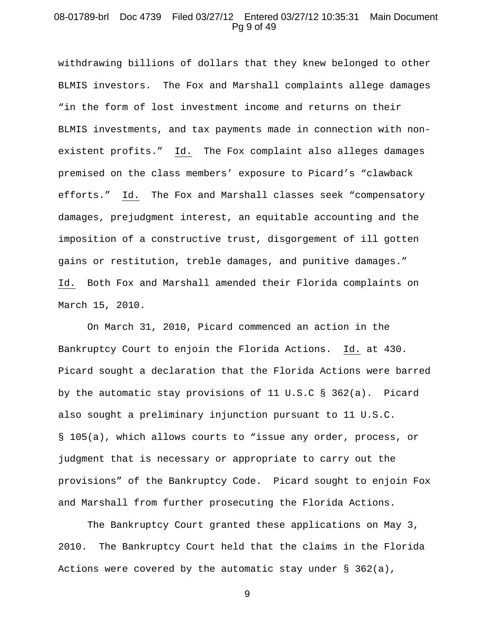#### 08-01789-brl Doc 4739 Filed 03/27/12 Entered 03/27/12 10:35:31 Main Document Pg 9 of 49

withdrawing billions of dollars that they knew belonged to other BLMIS investors. The Fox and Marshall complaints allege damages "in the form of lost investment income and returns on their BLMIS investments, and tax payments made in connection with nonexistent profits." Id. The Fox complaint also alleges damages premised on the class members' exposure to Picard's "clawback efforts." Id. The Fox and Marshall classes seek "compensatory damages, prejudgment interest, an equitable accounting and the imposition of a constructive trust, disgorgement of ill gotten gains or restitution, treble damages, and punitive damages." Id. Both Fox and Marshall amended their Florida complaints on March 15, 2010.

On March 31, 2010, Picard commenced an action in the Bankruptcy Court to enjoin the Florida Actions. Id. at 430. Picard sought a declaration that the Florida Actions were barred by the automatic stay provisions of 11 U.S.C § 362(a). Picard also sought a preliminary injunction pursuant to 11 U.S.C. § 105(a), which allows courts to "issue any order, process, or judgment that is necessary or appropriate to carry out the provisions" of the Bankruptcy Code. Picard sought to enjoin Fox and Marshall from further prosecuting the Florida Actions.

The Bankruptcy Court granted these applications on May 3, 2010. The Bankruptcy Court held that the claims in the Florida Actions were covered by the automatic stay under § 362(a),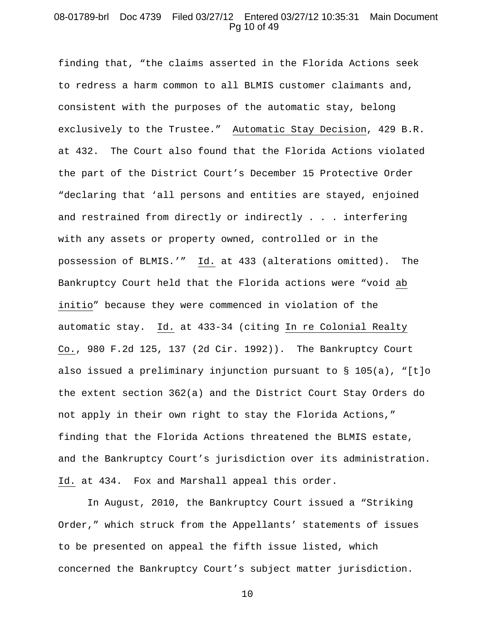## 08-01789-brl Doc 4739 Filed 03/27/12 Entered 03/27/12 10:35:31 Main Document Pg 10 of 49

finding that, "the claims asserted in the Florida Actions seek to redress a harm common to all BLMIS customer claimants and, consistent with the purposes of the automatic stay, belong exclusively to the Trustee." Automatic Stay Decision, 429 B.R. at 432. The Court also found that the Florida Actions violated the part of the District Court's December 15 Protective Order "declaring that 'all persons and entities are stayed, enjoined and restrained from directly or indirectly . . . interfering with any assets or property owned, controlled or in the possession of BLMIS.'" Id. at 433 (alterations omitted). The Bankruptcy Court held that the Florida actions were "void ab initio" because they were commenced in violation of the automatic stay. Id. at 433-34 (citing In re Colonial Realty Co., 980 F.2d 125, 137 (2d Cir. 1992)). The Bankruptcy Court also issued a preliminary injunction pursuant to  $\S$  105(a), "[t]o the extent section 362(a) and the District Court Stay Orders do not apply in their own right to stay the Florida Actions," finding that the Florida Actions threatened the BLMIS estate, and the Bankruptcy Court's jurisdiction over its administration. Id. at 434. Fox and Marshall appeal this order.

In August, 2010, the Bankruptcy Court issued a "Striking Order," which struck from the Appellants' statements of issues to be presented on appeal the fifth issue listed, which concerned the Bankruptcy Court's subject matter jurisdiction.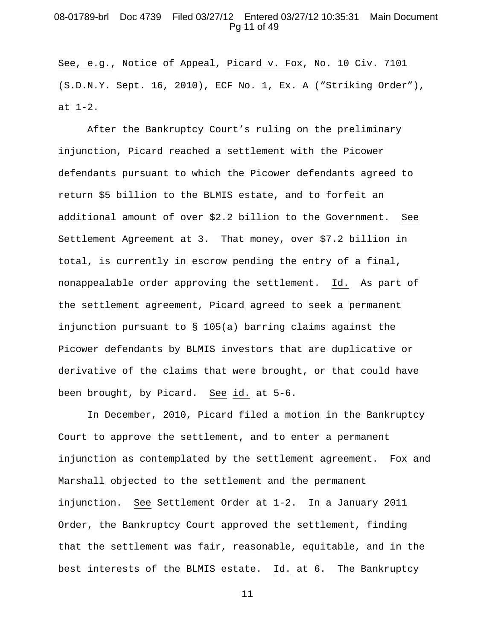## 08-01789-brl Doc 4739 Filed 03/27/12 Entered 03/27/12 10:35:31 Main Document Pg 11 of 49

See, e.g., Notice of Appeal, Picard v. Fox, No. 10 Civ. 7101 (S.D.N.Y. Sept. 16, 2010), ECF No. 1, Ex. A ("Striking Order"), at 1-2.

After the Bankruptcy Court's ruling on the preliminary injunction, Picard reached a settlement with the Picower defendants pursuant to which the Picower defendants agreed to return \$5 billion to the BLMIS estate, and to forfeit an additional amount of over \$2.2 billion to the Government. See Settlement Agreement at 3. That money, over \$7.2 billion in total, is currently in escrow pending the entry of a final, nonappealable order approving the settlement. Id. As part of the settlement agreement, Picard agreed to seek a permanent injunction pursuant to § 105(a) barring claims against the Picower defendants by BLMIS investors that are duplicative or derivative of the claims that were brought, or that could have been brought, by Picard. See id. at 5-6.

In December, 2010, Picard filed a motion in the Bankruptcy Court to approve the settlement, and to enter a permanent injunction as contemplated by the settlement agreement. Fox and Marshall objected to the settlement and the permanent injunction. See Settlement Order at 1-2. In a January 2011 Order, the Bankruptcy Court approved the settlement, finding that the settlement was fair, reasonable, equitable, and in the best interests of the BLMIS estate. Id. at 6. The Bankruptcy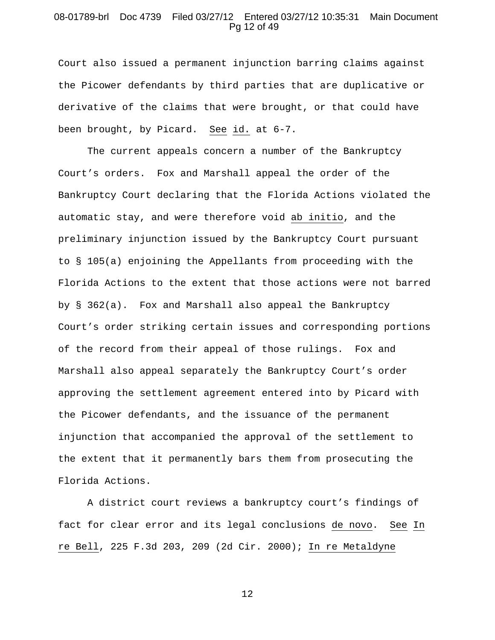# 08-01789-brl Doc 4739 Filed 03/27/12 Entered 03/27/12 10:35:31 Main Document Pg 12 of 49

Court also issued a permanent injunction barring claims against the Picower defendants by third parties that are duplicative or derivative of the claims that were brought, or that could have been brought, by Picard. See id. at 6-7.

The current appeals concern a number of the Bankruptcy Court's orders. Fox and Marshall appeal the order of the Bankruptcy Court declaring that the Florida Actions violated the automatic stay, and were therefore void ab initio, and the preliminary injunction issued by the Bankruptcy Court pursuant to § 105(a) enjoining the Appellants from proceeding with the Florida Actions to the extent that those actions were not barred by § 362(a). Fox and Marshall also appeal the Bankruptcy Court's order striking certain issues and corresponding portions of the record from their appeal of those rulings. Fox and Marshall also appeal separately the Bankruptcy Court's order approving the settlement agreement entered into by Picard with the Picower defendants, and the issuance of the permanent injunction that accompanied the approval of the settlement to the extent that it permanently bars them from prosecuting the Florida Actions.

A district court reviews a bankruptcy court's findings of fact for clear error and its legal conclusions de novo. See In re Bell, 225 F.3d 203, 209 (2d Cir. 2000); In re Metaldyne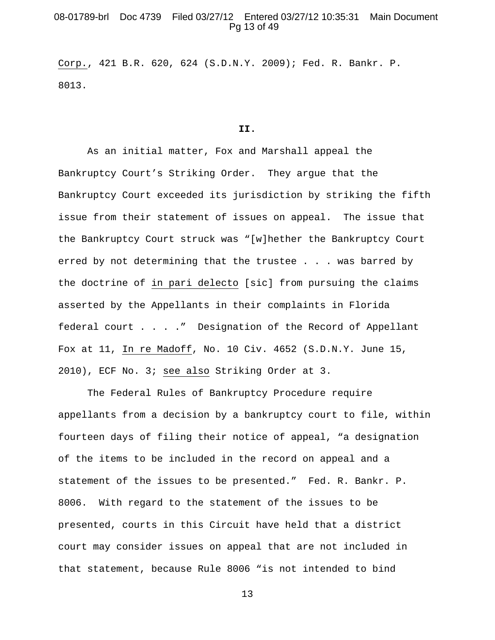### 08-01789-brl Doc 4739 Filed 03/27/12 Entered 03/27/12 10:35:31 Main Document Pg 13 of 49

Corp., 421 B.R. 620, 624 (S.D.N.Y. 2009); Fed. R. Bankr. P. 8013.

#### **II.**

As an initial matter, Fox and Marshall appeal the Bankruptcy Court's Striking Order. They argue that the Bankruptcy Court exceeded its jurisdiction by striking the fifth issue from their statement of issues on appeal. The issue that the Bankruptcy Court struck was "[w]hether the Bankruptcy Court erred by not determining that the trustee . . . was barred by the doctrine of in pari delecto [sic] from pursuing the claims asserted by the Appellants in their complaints in Florida federal court . . . ." Designation of the Record of Appellant Fox at 11, In re Madoff, No. 10 Civ. 4652 (S.D.N.Y. June 15, 2010), ECF No. 3; see also Striking Order at 3.

The Federal Rules of Bankruptcy Procedure require appellants from a decision by a bankruptcy court to file, within fourteen days of filing their notice of appeal, "a designation of the items to be included in the record on appeal and a statement of the issues to be presented." Fed. R. Bankr. P. 8006. With regard to the statement of the issues to be presented, courts in this Circuit have held that a district court may consider issues on appeal that are not included in that statement, because Rule 8006 "is not intended to bind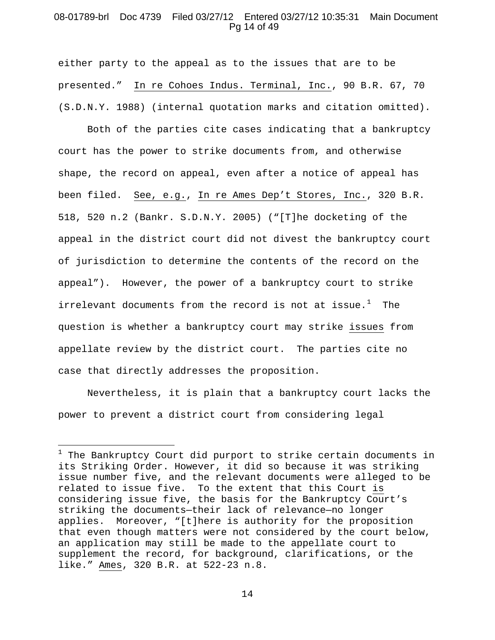### 08-01789-brl Doc 4739 Filed 03/27/12 Entered 03/27/12 10:35:31 Main Document Pg 14 of 49

either party to the appeal as to the issues that are to be presented." In re Cohoes Indus. Terminal, Inc., 90 B.R. 67, 70 (S.D.N.Y. 1988) (internal quotation marks and citation omitted).

Both of the parties cite cases indicating that a bankruptcy court has the power to strike documents from, and otherwise shape, the record on appeal, even after a notice of appeal has been filed. See, e.g., In re Ames Dep't Stores, Inc., 320 B.R. 518, 520 n.2 (Bankr. S.D.N.Y. 2005) ("[T]he docketing of the appeal in the district court did not divest the bankruptcy court of jurisdiction to determine the contents of the record on the appeal"). However, the power of a bankruptcy court to strike irrelevant documents from the record is not at issue. $^1$  $^1$  The question is whether a bankruptcy court may strike issues from appellate review by the district court. The parties cite no case that directly addresses the proposition.

Nevertheless, it is plain that a bankruptcy court lacks the power to prevent a district court from considering legal

 $\overline{a}$ 

<span id="page-13-0"></span> $1$  The Bankruptcy Court did purport to strike certain documents in its Striking Order. However, it did so because it was striking issue number five, and the relevant documents were alleged to be related to issue five. To the extent that this Court is considering issue five, the basis for the Bankruptcy Court's striking the documents—their lack of relevance—no longer applies. Moreover, "[t]here is authority for the proposition that even though matters were not considered by the court below, an application may still be made to the appellate court to supplement the record, for background, clarifications, or the like." Ames, 320 B.R. at 522-23 n.8.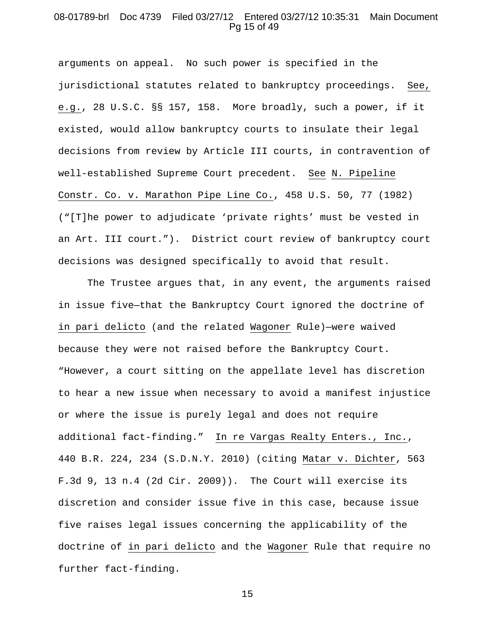### 08-01789-brl Doc 4739 Filed 03/27/12 Entered 03/27/12 10:35:31 Main Document Pg 15 of 49

arguments on appeal. No such power is specified in the jurisdictional statutes related to bankruptcy proceedings. See, e.g., 28 U.S.C. §§ 157, 158. More broadly, such a power, if it existed, would allow bankruptcy courts to insulate their legal decisions from review by Article III courts, in contravention of well-established Supreme Court precedent. See N. Pipeline Constr. Co. v. Marathon Pipe Line Co., 458 U.S. 50, 77 (1982) ("[T]he power to adjudicate 'private rights' must be vested in an Art. III court."). District court review of bankruptcy court decisions was designed specifically to avoid that result.

The Trustee argues that, in any event, the arguments raised in issue five—that the Bankruptcy Court ignored the doctrine of in pari delicto (and the related Wagoner Rule)—were waived because they were not raised before the Bankruptcy Court. "However, a court sitting on the appellate level has discretion to hear a new issue when necessary to avoid a manifest injustice or where the issue is purely legal and does not require additional fact-finding." In re Vargas Realty Enters., Inc., 440 B.R. 224, 234 (S.D.N.Y. 2010) (citing Matar v. Dichter, 563 F.3d 9, 13 n.4 (2d Cir. 2009)). The Court will exercise its discretion and consider issue five in this case, because issue five raises legal issues concerning the applicability of the doctrine of in pari delicto and the Wagoner Rule that require no further fact-finding.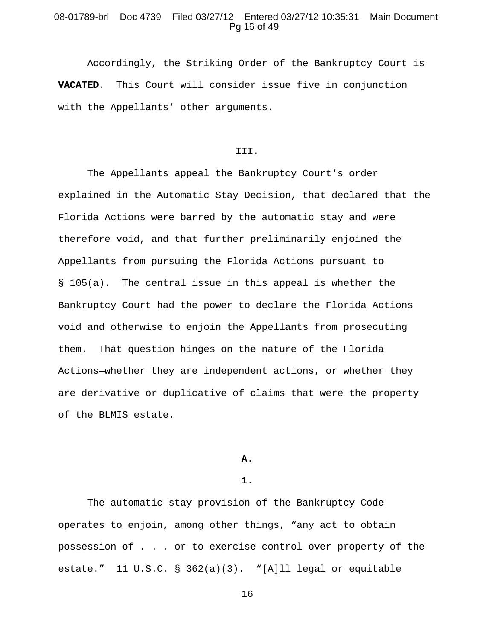# 08-01789-brl Doc 4739 Filed 03/27/12 Entered 03/27/12 10:35:31 Main Document Pg 16 of 49

Accordingly, the Striking Order of the Bankruptcy Court is **VACATED**. This Court will consider issue five in conjunction with the Appellants' other arguments.

#### **III.**

The Appellants appeal the Bankruptcy Court's order explained in the Automatic Stay Decision, that declared that the Florida Actions were barred by the automatic stay and were therefore void, and that further preliminarily enjoined the Appellants from pursuing the Florida Actions pursuant to § 105(a). The central issue in this appeal is whether the Bankruptcy Court had the power to declare the Florida Actions void and otherwise to enjoin the Appellants from prosecuting them. That question hinges on the nature of the Florida Actions—whether they are independent actions, or whether they are derivative or duplicative of claims that were the property of the BLMIS estate.

#### **A.**

#### **1.**

The automatic stay provision of the Bankruptcy Code operates to enjoin, among other things, "any act to obtain possession of . . . or to exercise control over property of the estate." 11 U.S.C. § 362(a)(3). "[A]ll legal or equitable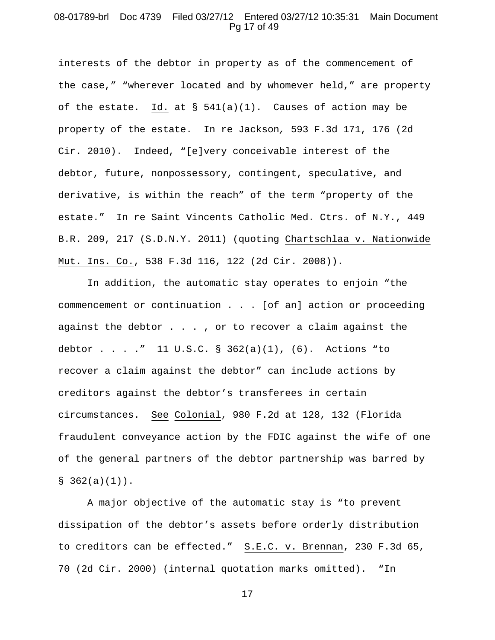# 08-01789-brl Doc 4739 Filed 03/27/12 Entered 03/27/12 10:35:31 Main Document Pg 17 of 49

interests of the debtor in property as of the commencement of the case," "wherever located and by whomever held," are property of the estate. Id. at  $\S$  541(a)(1). Causes of action may be property of the estate. In re Jackson*,* 593 F.3d 171, 176 (2d Cir. 2010). Indeed, "[e]very conceivable interest of the debtor, future, nonpossessory, contingent, speculative, and derivative, is within the reach" of the term "property of the estate." In re Saint Vincents Catholic Med. Ctrs. of N.Y., 449 B.R. 209, 217 (S.D.N.Y. 2011) (quoting Chartschlaa v. Nationwide Mut. Ins. Co., 538 F.3d 116, 122 (2d Cir. 2008)).

In addition, the automatic stay operates to enjoin "the commencement or continuation . . . [of an] action or proceeding against the debtor . . . , or to recover a claim against the debtor . . . ." 11 U.S.C. §  $362(a)(1)$ ,  $(6)$ . Actions "to recover a claim against the debtor" can include actions by creditors against the debtor's transferees in certain circumstances. See Colonial, 980 F.2d at 128, 132 (Florida fraudulent conveyance action by the FDIC against the wife of one of the general partners of the debtor partnership was barred by  $$362(a)(1))$ .

A major objective of the automatic stay is "to prevent dissipation of the debtor's assets before orderly distribution to creditors can be effected." S.E.C. v. Brennan, 230 F.3d 65, 70 (2d Cir. 2000) (internal quotation marks omitted). "In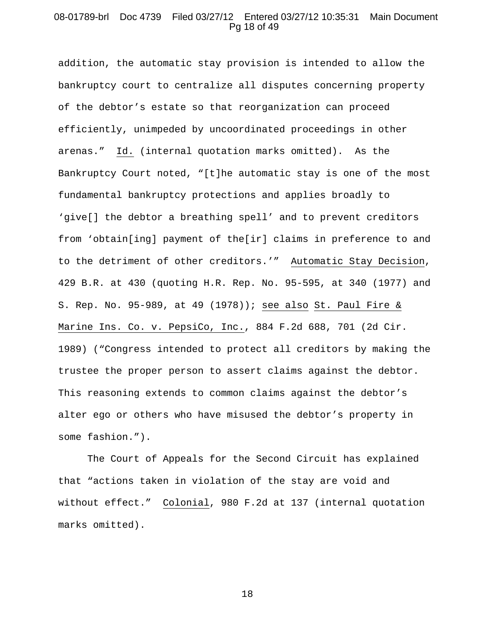## 08-01789-brl Doc 4739 Filed 03/27/12 Entered 03/27/12 10:35:31 Main Document Pg 18 of 49

addition, the automatic stay provision is intended to allow the bankruptcy court to centralize all disputes concerning property of the debtor's estate so that reorganization can proceed efficiently, unimpeded by uncoordinated proceedings in other arenas." Id. (internal quotation marks omitted). As the Bankruptcy Court noted, "[t]he automatic stay is one of the most fundamental bankruptcy protections and applies broadly to 'give[] the debtor a breathing spell' and to prevent creditors from 'obtain[ing] payment of the[ir] claims in preference to and to the detriment of other creditors.'" Automatic Stay Decision, 429 B.R. at 430 (quoting H.R. Rep. No. 95-595, at 340 (1977) and S. Rep. No. 95-989, at 49 (1978)); see also St. Paul Fire & Marine Ins. Co. v. PepsiCo, Inc., 884 F.2d 688, 701 (2d Cir. 1989) ("Congress intended to protect all creditors by making the trustee the proper person to assert claims against the debtor. This reasoning extends to common claims against the debtor's alter ego or others who have misused the debtor's property in some fashion.").

The Court of Appeals for the Second Circuit has explained that "actions taken in violation of the stay are void and without effect." Colonial, 980 F.2d at 137 (internal quotation marks omitted).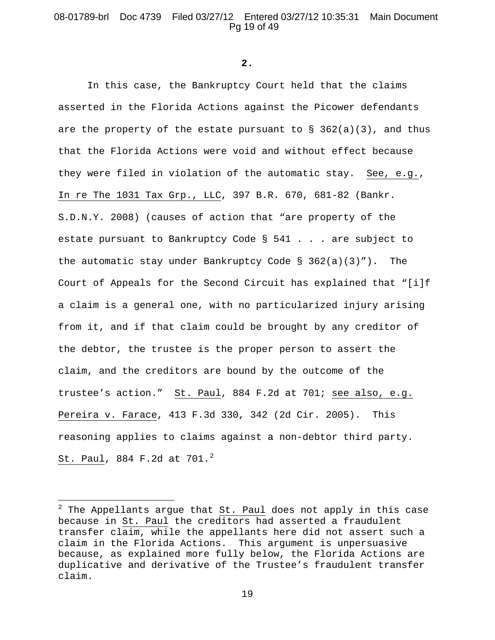# 08-01789-brl Doc 4739 Filed 03/27/12 Entered 03/27/12 10:35:31 Main Document Pg 19 of 49

**2.**

In this case, the Bankruptcy Court held that the claims asserted in the Florida Actions against the Picower defendants are the property of the estate pursuant to  $\S$  362(a)(3), and thus that the Florida Actions were void and without effect because they were filed in violation of the automatic stay. See, e.g., In re The 1031 Tax Grp., LLC, 397 B.R. 670, 681-82 (Bankr. S.D.N.Y. 2008) (causes of action that "are property of the estate pursuant to Bankruptcy Code § 541 . . . are subject to the automatic stay under Bankruptcy Code  $\S$  362(a)(3)"). The Court of Appeals for the Second Circuit has explained that "[i]f a claim is a general one, with no particularized injury arising from it, and if that claim could be brought by any creditor of the debtor, the trustee is the proper person to assert the claim, and the creditors are bound by the outcome of the trustee's action." St. Paul, 884 F.2d at 701; see also, e.g. Pereira v. Farace, 413 F.3d 330, 342 (2d Cir. 2005). This reasoning applies to claims against a non-debtor third party. St. Paul, 884 F.[2](#page-18-0)d at  $701.^2$ 

 $\overline{a}$ 

<span id="page-18-0"></span> $2$  The Appellants argue that St. Paul does not apply in this case because in St. Paul the creditors had asserted a fraudulent transfer claim, while the appellants here did not assert such a claim in the Florida Actions. This argument is unpersuasive because, as explained more fully below, the Florida Actions are duplicative and derivative of the Trustee's fraudulent transfer claim.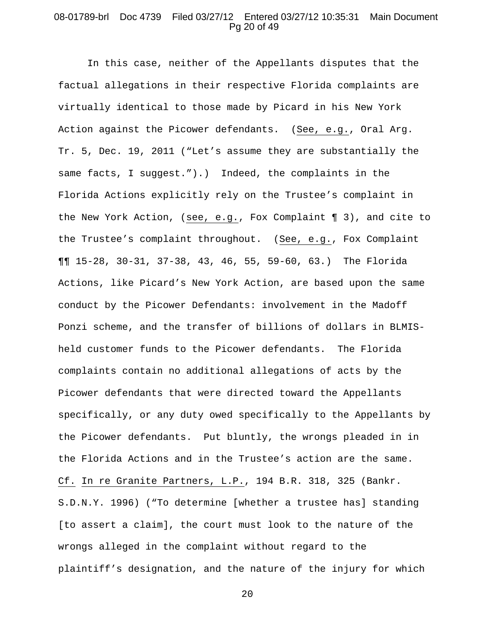# 08-01789-brl Doc 4739 Filed 03/27/12 Entered 03/27/12 10:35:31 Main Document Pg 20 of 49

In this case, neither of the Appellants disputes that the factual allegations in their respective Florida complaints are virtually identical to those made by Picard in his New York Action against the Picower defendants. (See, e.g., Oral Arg. Tr. 5, Dec. 19, 2011 ("Let's assume they are substantially the same facts, I suggest.").) Indeed, the complaints in the Florida Actions explicitly rely on the Trustee's complaint in the New York Action, (see, e.g., Fox Complaint ¶ 3), and cite to the Trustee's complaint throughout. (See, e.g., Fox Complaint ¶¶ 15-28, 30-31, 37-38, 43, 46, 55, 59-60, 63.) The Florida Actions, like Picard's New York Action, are based upon the same conduct by the Picower Defendants: involvement in the Madoff Ponzi scheme, and the transfer of billions of dollars in BLMISheld customer funds to the Picower defendants. The Florida complaints contain no additional allegations of acts by the Picower defendants that were directed toward the Appellants specifically, or any duty owed specifically to the Appellants by the Picower defendants. Put bluntly, the wrongs pleaded in in the Florida Actions and in the Trustee's action are the same. Cf. In re Granite Partners, L.P., 194 B.R. 318, 325 (Bankr. S.D.N.Y. 1996) ("To determine [whether a trustee has] standing [to assert a claim], the court must look to the nature of the wrongs alleged in the complaint without regard to the plaintiff's designation, and the nature of the injury for which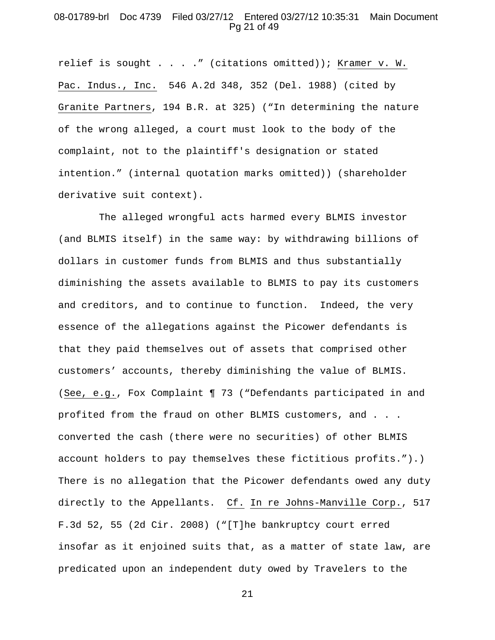# 08-01789-brl Doc 4739 Filed 03/27/12 Entered 03/27/12 10:35:31 Main Document Pg 21 of 49

relief is sought . . . ." (citations omitted)); Kramer v. W. Pac. Indus., Inc. 546 A.2d 348, 352 (Del. 1988) (cited by Granite Partners, 194 B.R. at 325) ("In determining the nature of the wrong alleged, a court must look to the body of the complaint, not to the plaintiff's designation or stated intention." (internal quotation marks omitted)) (shareholder derivative suit context).

 The alleged wrongful acts harmed every BLMIS investor (and BLMIS itself) in the same way: by withdrawing billions of dollars in customer funds from BLMIS and thus substantially diminishing the assets available to BLMIS to pay its customers and creditors, and to continue to function. Indeed, the very essence of the allegations against the Picower defendants is that they paid themselves out of assets that comprised other customers' accounts, thereby diminishing the value of BLMIS. (See, e.g., Fox Complaint ¶ 73 ("Defendants participated in and profited from the fraud on other BLMIS customers, and . . . converted the cash (there were no securities) of other BLMIS account holders to pay themselves these fictitious profits.").) There is no allegation that the Picower defendants owed any duty directly to the Appellants. Cf. In re Johns-Manville Corp., 517 F.3d 52, 55 (2d Cir. 2008) ("[T]he bankruptcy court erred insofar as it enjoined suits that, as a matter of state law, are predicated upon an independent duty owed by Travelers to the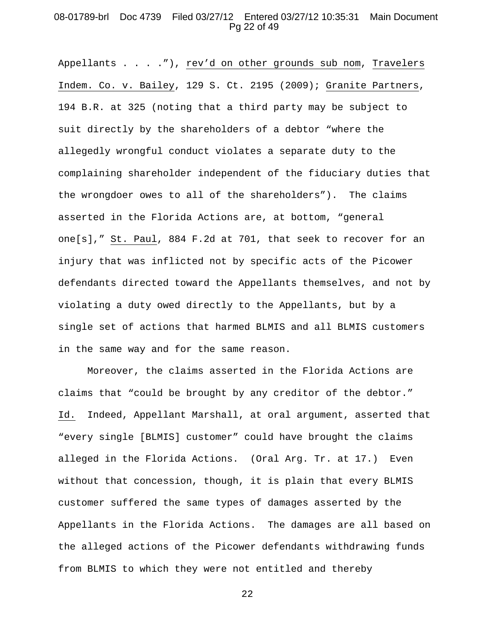# 08-01789-brl Doc 4739 Filed 03/27/12 Entered 03/27/12 10:35:31 Main Document Pg 22 of 49

Appellants . . . ."), rev'd on other grounds sub nom, Travelers Indem. Co. v. Bailey, 129 S. Ct. 2195 (2009); Granite Partners, 194 B.R. at 325 (noting that a third party may be subject to suit directly by the shareholders of a debtor "where the allegedly wrongful conduct violates a separate duty to the complaining shareholder independent of the fiduciary duties that the wrongdoer owes to all of the shareholders"). The claims asserted in the Florida Actions are, at bottom, "general one[s]," St. Paul, 884 F.2d at 701, that seek to recover for an injury that was inflicted not by specific acts of the Picower defendants directed toward the Appellants themselves, and not by violating a duty owed directly to the Appellants, but by a single set of actions that harmed BLMIS and all BLMIS customers in the same way and for the same reason.

Moreover, the claims asserted in the Florida Actions are claims that "could be brought by any creditor of the debtor." Id. Indeed, Appellant Marshall, at oral argument, asserted that "every single [BLMIS] customer" could have brought the claims alleged in the Florida Actions. (Oral Arg. Tr. at 17.) Even without that concession, though, it is plain that every BLMIS customer suffered the same types of damages asserted by the Appellants in the Florida Actions. The damages are all based on the alleged actions of the Picower defendants withdrawing funds from BLMIS to which they were not entitled and thereby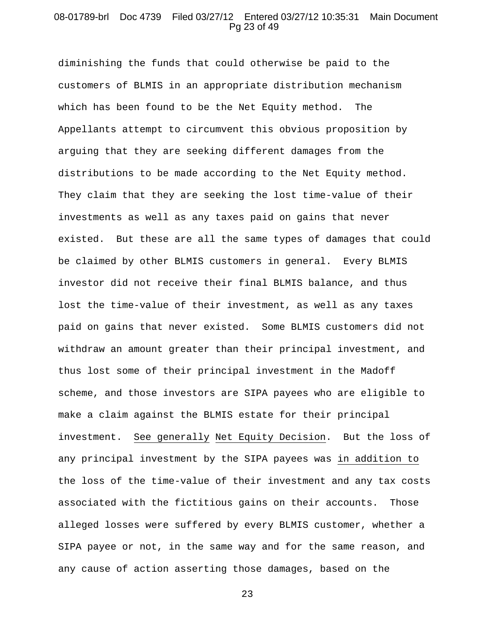# 08-01789-brl Doc 4739 Filed 03/27/12 Entered 03/27/12 10:35:31 Main Document Pg 23 of 49

diminishing the funds that could otherwise be paid to the customers of BLMIS in an appropriate distribution mechanism which has been found to be the Net Equity method. The Appellants attempt to circumvent this obvious proposition by arguing that they are seeking different damages from the distributions to be made according to the Net Equity method. They claim that they are seeking the lost time-value of their investments as well as any taxes paid on gains that never existed. But these are all the same types of damages that could be claimed by other BLMIS customers in general. Every BLMIS investor did not receive their final BLMIS balance, and thus lost the time-value of their investment, as well as any taxes paid on gains that never existed. Some BLMIS customers did not withdraw an amount greater than their principal investment, and thus lost some of their principal investment in the Madoff scheme, and those investors are SIPA payees who are eligible to make a claim against the BLMIS estate for their principal investment. See generally Net Equity Decision. But the loss of any principal investment by the SIPA payees was in addition to the loss of the time-value of their investment and any tax costs associated with the fictitious gains on their accounts. Those alleged losses were suffered by every BLMIS customer, whether a SIPA payee or not, in the same way and for the same reason, and any cause of action asserting those damages, based on the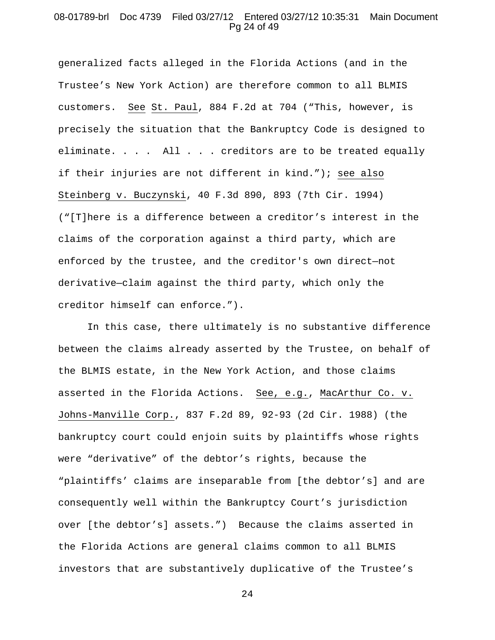## 08-01789-brl Doc 4739 Filed 03/27/12 Entered 03/27/12 10:35:31 Main Document Pg 24 of 49

generalized facts alleged in the Florida Actions (and in the Trustee's New York Action) are therefore common to all BLMIS customers. See St. Paul, 884 F.2d at 704 ("This, however, is precisely the situation that the Bankruptcy Code is designed to eliminate. . . . All . . . creditors are to be treated equally if their injuries are not different in kind."); see also Steinberg v. Buczynski, 40 F.3d 890, 893 (7th Cir. 1994) ("[T]here is a difference between a creditor's interest in the claims of the corporation against a third party, which are enforced by the trustee, and the creditor's own direct—not derivative—claim against the third party, which only the creditor himself can enforce.").

In this case, there ultimately is no substantive difference between the claims already asserted by the Trustee, on behalf of the BLMIS estate, in the New York Action, and those claims asserted in the Florida Actions. See, e.g., MacArthur Co. v. Johns-Manville Corp., 837 F.2d 89, 92-93 (2d Cir. 1988) (the bankruptcy court could enjoin suits by plaintiffs whose rights were "derivative" of the debtor's rights, because the "plaintiffs' claims are inseparable from [the debtor's] and are consequently well within the Bankruptcy Court's jurisdiction over [the debtor's] assets.") Because the claims asserted in the Florida Actions are general claims common to all BLMIS investors that are substantively duplicative of the Trustee's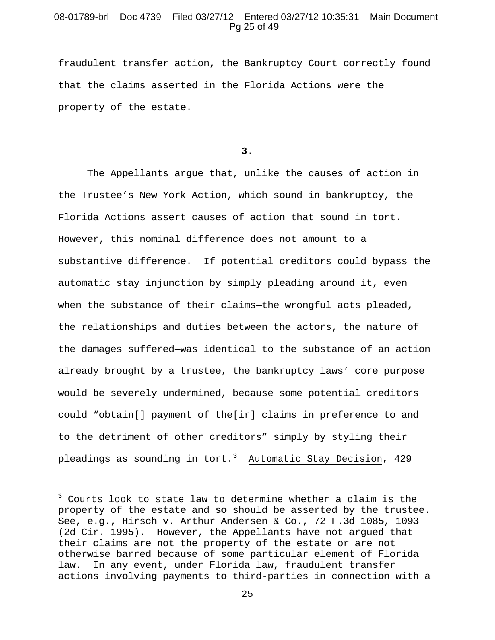# 08-01789-brl Doc 4739 Filed 03/27/12 Entered 03/27/12 10:35:31 Main Document Pg 25 of 49

fraudulent transfer action, the Bankruptcy Court correctly found that the claims asserted in the Florida Actions were the property of the estate.

#### **3.**

The Appellants argue that, unlike the causes of action in the Trustee's New York Action, which sound in bankruptcy, the Florida Actions assert causes of action that sound in tort. However, this nominal difference does not amount to a substantive difference. If potential creditors could bypass the automatic stay injunction by simply pleading around it, even when the substance of their claims—the wrongful acts pleaded, the relationships and duties between the actors, the nature of the damages suffered—was identical to the substance of an action already brought by a trustee, the bankruptcy laws' core purpose would be severely undermined, because some potential creditors could "obtain[] payment of the[ir] claims in preference to and to the detriment of other creditors" simply by styling their pleadings as sounding in tort.<sup>[3](#page-24-0)</sup> Automatic Stay Decision, 429

 $\overline{a}$ 

<span id="page-24-0"></span> $3$  Courts look to state law to determine whether a claim is the property of the estate and so should be asserted by the trustee. See, e.g., Hirsch v. Arthur Andersen & Co., 72 F.3d 1085, 1093 (2d Cir. 1995). However, the Appellants have not argued that their claims are not the property of the estate or are not otherwise barred because of some particular element of Florida law. In any event, under Florida law, fraudulent transfer actions involving payments to third-parties in connection with a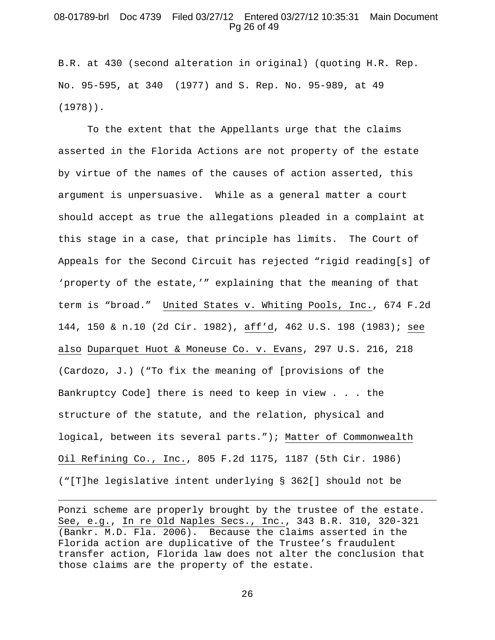## 08-01789-brl Doc 4739 Filed 03/27/12 Entered 03/27/12 10:35:31 Main Document Pg 26 of 49

B.R. at 430 (second alteration in original) (quoting H.R. Rep. No. 95-595, at 340 (1977) and S. Rep. No. 95-989, at 49 (1978)).

To the extent that the Appellants urge that the claims asserted in the Florida Actions are not property of the estate by virtue of the names of the causes of action asserted, this argument is unpersuasive. While as a general matter a court should accept as true the allegations pleaded in a complaint at this stage in a case, that principle has limits. The Court of Appeals for the Second Circuit has rejected "rigid reading[s] of 'property of the estate,'" explaining that the meaning of that term is "broad." United States v. Whiting Pools, Inc., 674 F.2d 144, 150 & n.10 (2d Cir. 1982), aff'd, 462 U.S. 198 (1983); see also Duparquet Huot & Moneuse Co. v. Evans, 297 U.S. 216, 218 (Cardozo, J.) ("To fix the meaning of [provisions of the Bankruptcy Code] there is need to keep in view . . . the structure of the statute, and the relation, physical and logical, between its several parts."); Matter of Commonwealth Oil Refining Co., Inc., 805 F.2d 1175, 1187 (5th Cir. 1986) ("[T]he legislative intent underlying § 362[] should not be

Ponzi scheme are properly brought by the trustee of the estate. See, e.g., In re Old Naples Secs., Inc., 343 B.R. 310, 320-321 (Bankr. M.D. Fla. 2006). Because the claims asserted in the Florida action are duplicative of the Trustee's fraudulent transfer action, Florida law does not alter the conclusion that those claims are the property of the estate.

 $\overline{a}$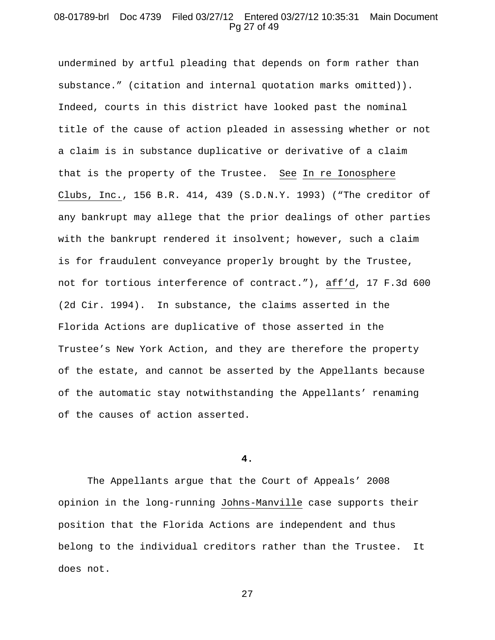## 08-01789-brl Doc 4739 Filed 03/27/12 Entered 03/27/12 10:35:31 Main Document Pg 27 of 49

undermined by artful pleading that depends on form rather than substance." (citation and internal quotation marks omitted)). Indeed, courts in this district have looked past the nominal title of the cause of action pleaded in assessing whether or not a claim is in substance duplicative or derivative of a claim that is the property of the Trustee. See In re Ionosphere Clubs, Inc., 156 B.R. 414, 439 (S.D.N.Y. 1993) ("The creditor of any bankrupt may allege that the prior dealings of other parties with the bankrupt rendered it insolvent; however, such a claim is for fraudulent conveyance properly brought by the Trustee, not for tortious interference of contract."), aff'd, 17 F.3d 600 (2d Cir. 1994). In substance, the claims asserted in the Florida Actions are duplicative of those asserted in the Trustee's New York Action, and they are therefore the property of the estate, and cannot be asserted by the Appellants because of the automatic stay notwithstanding the Appellants' renaming of the causes of action asserted.

#### **4.**

The Appellants argue that the Court of Appeals' 2008 opinion in the long-running Johns-Manville case supports their position that the Florida Actions are independent and thus belong to the individual creditors rather than the Trustee. It does not.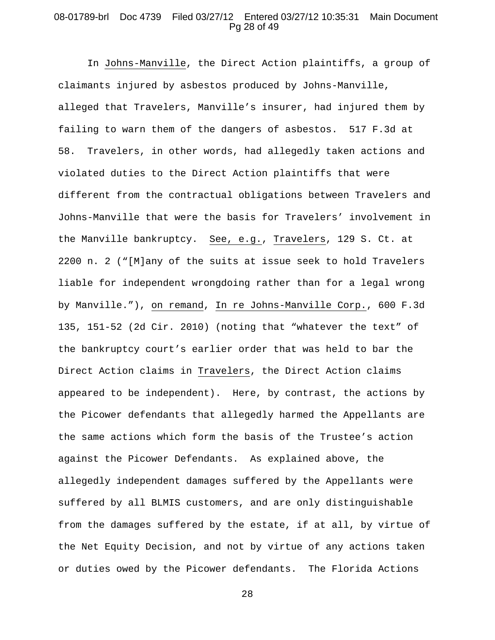# 08-01789-brl Doc 4739 Filed 03/27/12 Entered 03/27/12 10:35:31 Main Document Pg 28 of 49

In Johns-Manville, the Direct Action plaintiffs, a group of claimants injured by asbestos produced by Johns-Manville, alleged that Travelers, Manville's insurer, had injured them by failing to warn them of the dangers of asbestos. 517 F.3d at 58. Travelers, in other words, had allegedly taken actions and violated duties to the Direct Action plaintiffs that were different from the contractual obligations between Travelers and Johns-Manville that were the basis for Travelers' involvement in the Manville bankruptcy. See, e.g., Travelers, 129 S. Ct. at 2200 n. 2 ("[M]any of the suits at issue seek to hold Travelers liable for independent wrongdoing rather than for a legal wrong by Manville."), on remand, In re Johns-Manville Corp., 600 F.3d 135, 151-52 (2d Cir. 2010) (noting that "whatever the text" of the bankruptcy court's earlier order that was held to bar the Direct Action claims in Travelers, the Direct Action claims appeared to be independent). Here, by contrast, the actions by the Picower defendants that allegedly harmed the Appellants are the same actions which form the basis of the Trustee's action against the Picower Defendants. As explained above, the allegedly independent damages suffered by the Appellants were suffered by all BLMIS customers, and are only distinguishable from the damages suffered by the estate, if at all, by virtue of the Net Equity Decision, and not by virtue of any actions taken or duties owed by the Picower defendants. The Florida Actions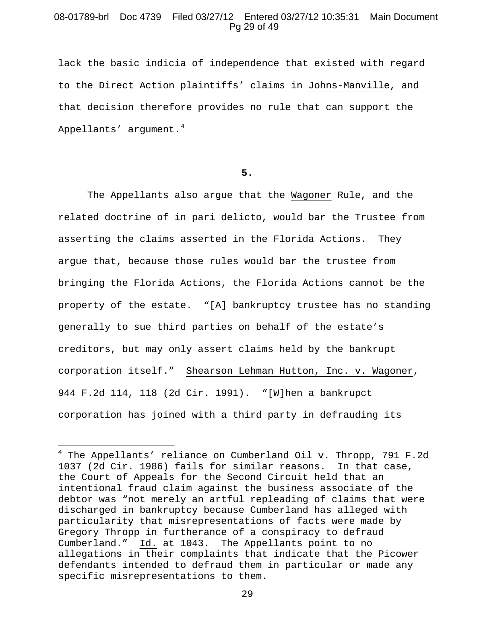# 08-01789-brl Doc 4739 Filed 03/27/12 Entered 03/27/12 10:35:31 Main Document Pg 29 of 49

lack the basic indicia of independence that existed with regard to the Direct Action plaintiffs' claims in Johns-Manville, and that decision therefore provides no rule that can support the Appellants' argument. $4$ 

**5.**

The Appellants also argue that the Wagoner Rule, and the related doctrine of in pari delicto, would bar the Trustee from asserting the claims asserted in the Florida Actions. They argue that, because those rules would bar the trustee from bringing the Florida Actions, the Florida Actions cannot be the property of the estate. "[A] bankruptcy trustee has no standing generally to sue third parties on behalf of the estate's creditors, but may only assert claims held by the bankrupt corporation itself." Shearson Lehman Hutton, Inc. v. Wagoner, 944 F.2d 114, 118 (2d Cir. 1991). "[W]hen a bankrupct corporation has joined with a third party in defrauding its

 $\overline{a}$ 

<span id="page-28-0"></span> $4$  The Appellants' reliance on Cumberland Oil v. Thropp, 791 F.2d 1037 (2d Cir. 1986) fails for similar reasons. In that case, the Court of Appeals for the Second Circuit held that an intentional fraud claim against the business associate of the debtor was "not merely an artful repleading of claims that were discharged in bankruptcy because Cumberland has alleged with particularity that misrepresentations of facts were made by Gregory Thropp in furtherance of a conspiracy to defraud Cumberland." Id. at 1043. The Appellants point to no allegations in their complaints that indicate that the Picower defendants intended to defraud them in particular or made any specific misrepresentations to them.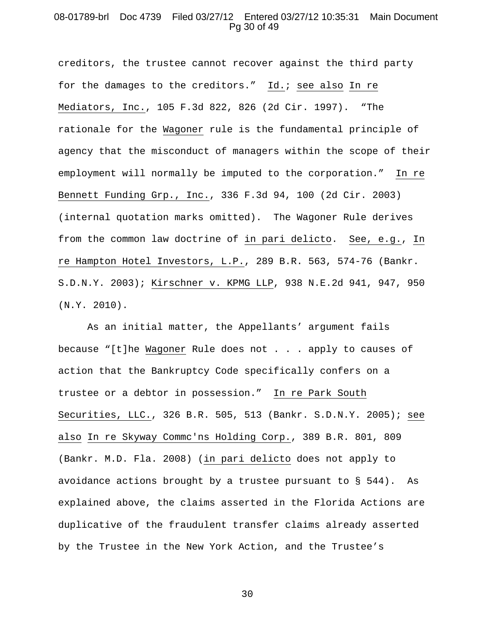# 08-01789-brl Doc 4739 Filed 03/27/12 Entered 03/27/12 10:35:31 Main Document Pg 30 of 49

creditors, the trustee cannot recover against the third party for the damages to the creditors." Id.; see also In re Mediators, Inc., 105 F.3d 822, 826 (2d Cir. 1997). "The rationale for the Wagoner rule is the fundamental principle of agency that the misconduct of managers within the scope of their employment will normally be imputed to the corporation." In re Bennett Funding Grp., Inc., 336 F.3d 94, 100 (2d Cir. 2003) (internal quotation marks omitted). The Wagoner Rule derives from the common law doctrine of in pari delicto. See, e.g., In re Hampton Hotel Investors, L.P., 289 B.R. 563, 574-76 (Bankr. S.D.N.Y. 2003); Kirschner v. KPMG LLP, 938 N.E.2d 941, 947, 950 (N.Y. 2010).

As an initial matter, the Appellants' argument fails because "[t]he Wagoner Rule does not . . . apply to causes of action that the Bankruptcy Code specifically confers on a trustee or a debtor in possession." In re Park South Securities, LLC., 326 B.R. 505, 513 (Bankr. S.D.N.Y. 2005); see also In re Skyway Commc'ns Holding Corp., 389 B.R. 801, 809 (Bankr. M.D. Fla. 2008) (in pari delicto does not apply to avoidance actions brought by a trustee pursuant to § 544). As explained above, the claims asserted in the Florida Actions are duplicative of the fraudulent transfer claims already asserted by the Trustee in the New York Action, and the Trustee's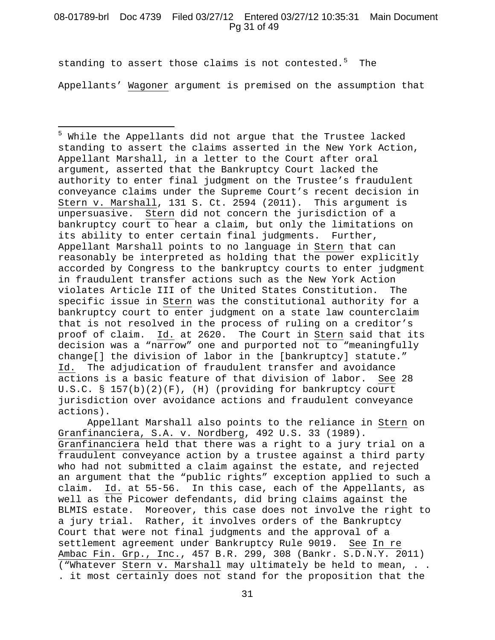# 08-01789-brl Doc 4739 Filed 03/27/12 Entered 03/27/12 10:35:31 Main Document Pg 31 of 49

standing to assert those claims is not contested.<sup>[5](#page-30-0)</sup> The Appellants' Wagoner argument is premised on the assumption that

 $\overline{a}$ 

<span id="page-30-0"></span><sup>5</sup> While the Appellants did not argue that the Trustee lacked standing to assert the claims asserted in the New York Action, Appellant Marshall, in a letter to the Court after oral argument, asserted that the Bankruptcy Court lacked the authority to enter final judgment on the Trustee's fraudulent conveyance claims under the Supreme Court's recent decision in Stern v. Marshall, 131 S. Ct. 2594 (2011). This argument is unpersuasive. Stern did not concern the jurisdiction of a bankruptcy court to hear a claim, but only the limitations on its ability to enter certain final judgments. Further, Appellant Marshall points to no language in Stern that can reasonably be interpreted as holding that the power explicitly accorded by Congress to the bankruptcy courts to enter judgment in fraudulent transfer actions such as the New York Action violates Article III of the United States Constitution. The specific issue in Stern was the constitutional authority for a bankruptcy court to enter judgment on a state law counterclaim that is not resolved in the process of ruling on a creditor's proof of claim. Id. at 2620. The Court in Stern said that its decision was a "narrow" one and purported not to "meaningfully change[] the division of labor in the [bankruptcy] statute." Id. The adjudication of fraudulent transfer and avoidance<br>actions is a basic feature of that division of labor. See 28 actions is a basic feature of that division of labor. U.S.C. § 157(b)(2)(F), (H) (providing for bankruptcy court jurisdiction over avoidance actions and fraudulent conveyance actions).

Appellant Marshall also points to the reliance in Stern on Granfinanciera, S.A. v. Nordberg, 492 U.S. 33 (1989). Granfinanciera held that there was a right to a jury trial on a fraudulent conveyance action by a trustee against a third party who had not submitted a claim against the estate, and rejected an argument that the "public rights" exception applied to such a claim. Id. at 55-56. In this case, each of the Appellants, as well as the Picower defendants, did bring claims against the BLMIS estate. Moreover, this case does not involve the right to a jury trial. Rather, it involves orders of the Bankruptcy Court that were not final judgments and the approval of a settlement agreement under Bankruptcy Rule 9019. See In re Ambac Fin. Grp., Inc., 457 B.R. 299, 308 (Bankr. S.D.N.Y. 2011) ("Whatever Stern v. Marshall may ultimately be held to mean, . . . it most certainly does not stand for the proposition that the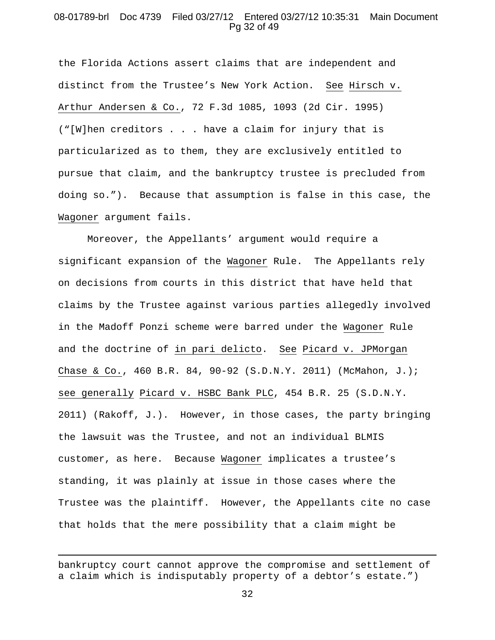# 08-01789-brl Doc 4739 Filed 03/27/12 Entered 03/27/12 10:35:31 Main Document Pg 32 of 49

the Florida Actions assert claims that are independent and distinct from the Trustee's New York Action. See Hirsch v. Arthur Andersen & Co., 72 F.3d 1085, 1093 (2d Cir. 1995) ("[W]hen creditors . . . have a claim for injury that is particularized as to them, they are exclusively entitled to pursue that claim, and the bankruptcy trustee is precluded from doing so."). Because that assumption is false in this case, the Wagoner argument fails.

Moreover, the Appellants' argument would require a significant expansion of the Wagoner Rule. The Appellants rely on decisions from courts in this district that have held that claims by the Trustee against various parties allegedly involved in the Madoff Ponzi scheme were barred under the Wagoner Rule and the doctrine of in pari delicto. See Picard v. JPMorgan Chase & Co., 460 B.R. 84, 90-92 (S.D.N.Y. 2011) (McMahon, J.); see generally Picard v. HSBC Bank PLC, 454 B.R. 25 (S.D.N.Y. 2011) (Rakoff, J.). However, in those cases, the party bringing the lawsuit was the Trustee, and not an individual BLMIS customer, as here. Because Wagoner implicates a trustee's standing, it was plainly at issue in those cases where the Trustee was the plaintiff. However, the Appellants cite no case that holds that the mere possibility that a claim might be

 $\overline{a}$ 

bankruptcy court cannot approve the compromise and settlement of a claim which is indisputably property of a debtor's estate.")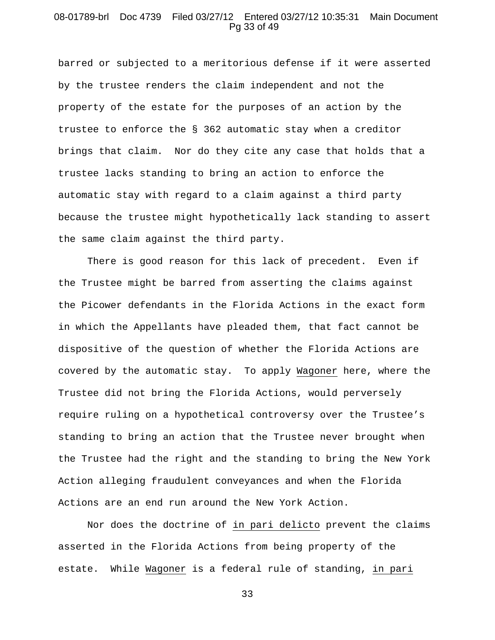# 08-01789-brl Doc 4739 Filed 03/27/12 Entered 03/27/12 10:35:31 Main Document Pg 33 of 49

barred or subjected to a meritorious defense if it were asserted by the trustee renders the claim independent and not the property of the estate for the purposes of an action by the trustee to enforce the § 362 automatic stay when a creditor brings that claim. Nor do they cite any case that holds that a trustee lacks standing to bring an action to enforce the automatic stay with regard to a claim against a third party because the trustee might hypothetically lack standing to assert the same claim against the third party.

There is good reason for this lack of precedent. Even if the Trustee might be barred from asserting the claims against the Picower defendants in the Florida Actions in the exact form in which the Appellants have pleaded them, that fact cannot be dispositive of the question of whether the Florida Actions are covered by the automatic stay. To apply Wagoner here, where the Trustee did not bring the Florida Actions, would perversely require ruling on a hypothetical controversy over the Trustee's standing to bring an action that the Trustee never brought when the Trustee had the right and the standing to bring the New York Action alleging fraudulent conveyances and when the Florida Actions are an end run around the New York Action.

Nor does the doctrine of in pari delicto prevent the claims asserted in the Florida Actions from being property of the estate. While Wagoner is a federal rule of standing, in pari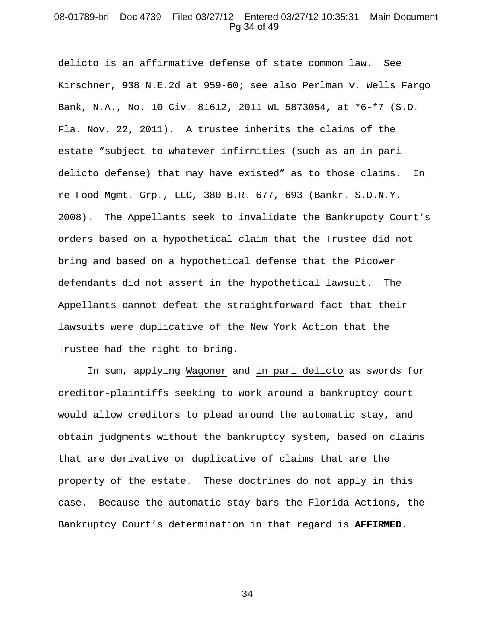# 08-01789-brl Doc 4739 Filed 03/27/12 Entered 03/27/12 10:35:31 Main Document Pg 34 of 49

delicto is an affirmative defense of state common law. See Kirschner, 938 N.E.2d at 959-60; see also Perlman v. Wells Fargo Bank, N.A., No. 10 Civ. 81612, 2011 WL 5873054, at \*6-\*7 (S.D. Fla. Nov. 22, 2011). A trustee inherits the claims of the estate "subject to whatever infirmities (such as an in pari delicto defense) that may have existed" as to those claims. In re Food Mgmt. Grp., LLC, 380 B.R. 677, 693 (Bankr. S.D.N.Y. 2008). The Appellants seek to invalidate the Bankrupcty Court's orders based on a hypothetical claim that the Trustee did not bring and based on a hypothetical defense that the Picower defendants did not assert in the hypothetical lawsuit. The Appellants cannot defeat the straightforward fact that their lawsuits were duplicative of the New York Action that the Trustee had the right to bring.

In sum, applying Wagoner and in pari delicto as swords for creditor-plaintiffs seeking to work around a bankruptcy court would allow creditors to plead around the automatic stay, and obtain judgments without the bankruptcy system, based on claims that are derivative or duplicative of claims that are the property of the estate. These doctrines do not apply in this case. Because the automatic stay bars the Florida Actions, the Bankruptcy Court's determination in that regard is **AFFIRMED**.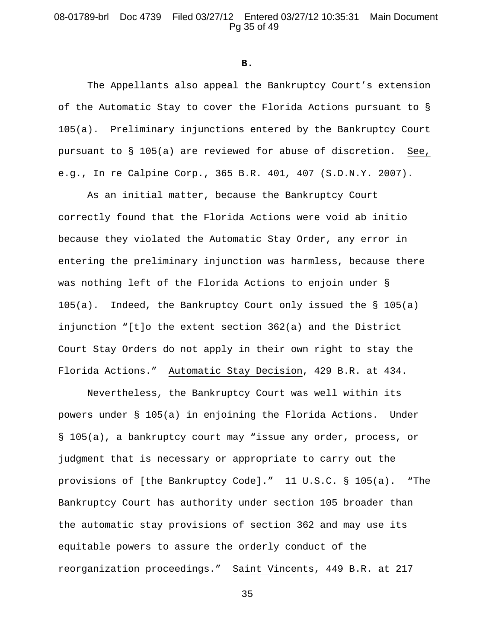# 08-01789-brl Doc 4739 Filed 03/27/12 Entered 03/27/12 10:35:31 Main Document Pg 35 of 49

**B.**

The Appellants also appeal the Bankruptcy Court's extension of the Automatic Stay to cover the Florida Actions pursuant to § 105(a). Preliminary injunctions entered by the Bankruptcy Court pursuant to § 105(a) are reviewed for abuse of discretion. See, e.g., In re Calpine Corp., 365 B.R. 401, 407 (S.D.N.Y. 2007).

As an initial matter, because the Bankruptcy Court correctly found that the Florida Actions were void ab initio because they violated the Automatic Stay Order, any error in entering the preliminary injunction was harmless, because there was nothing left of the Florida Actions to enjoin under §  $105(a)$ . Indeed, the Bankruptcy Court only issued the § 105(a) injunction "[t]o the extent section 362(a) and the District Court Stay Orders do not apply in their own right to stay the Florida Actions." Automatic Stay Decision, 429 B.R. at 434.

Nevertheless, the Bankruptcy Court was well within its powers under § 105(a) in enjoining the Florida Actions. Under § 105(a), a bankruptcy court may "issue any order, process, or judgment that is necessary or appropriate to carry out the provisions of [the Bankruptcy Code]." 11 U.S.C. § 105(a). "The Bankruptcy Court has authority under section 105 broader than the automatic stay provisions of section 362 and may use its equitable powers to assure the orderly conduct of the reorganization proceedings." Saint Vincents, 449 B.R. at 217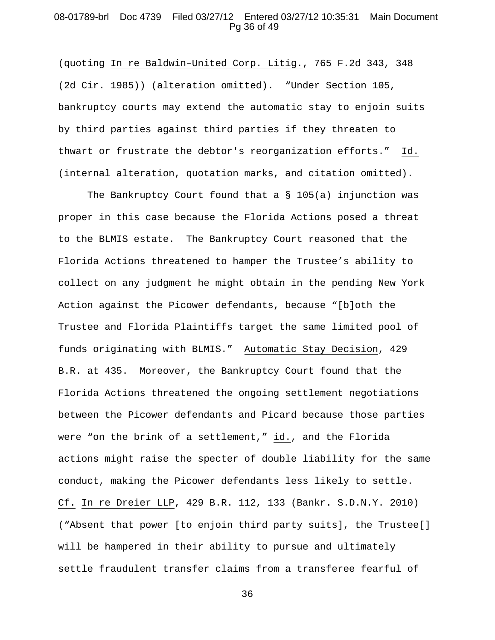# 08-01789-brl Doc 4739 Filed 03/27/12 Entered 03/27/12 10:35:31 Main Document Pg 36 of 49

(quoting In re Baldwin–United Corp. Litig., 765 F.2d 343, 348 (2d Cir. 1985)) (alteration omitted). "Under Section 105, bankruptcy courts may extend the automatic stay to enjoin suits by third parties against third parties if they threaten to thwart or frustrate the debtor's reorganization efforts." Id. (internal alteration, quotation marks, and citation omitted).

The Bankruptcy Court found that a § 105(a) injunction was proper in this case because the Florida Actions posed a threat to the BLMIS estate. The Bankruptcy Court reasoned that the Florida Actions threatened to hamper the Trustee's ability to collect on any judgment he might obtain in the pending New York Action against the Picower defendants, because "[b]oth the Trustee and Florida Plaintiffs target the same limited pool of funds originating with BLMIS." Automatic Stay Decision, 429 B.R. at 435. Moreover, the Bankruptcy Court found that the Florida Actions threatened the ongoing settlement negotiations between the Picower defendants and Picard because those parties were "on the brink of a settlement," id., and the Florida actions might raise the specter of double liability for the same conduct, making the Picower defendants less likely to settle. Cf. In re Dreier LLP, 429 B.R. 112, 133 (Bankr. S.D.N.Y. 2010) ("Absent that power [to enjoin third party suits], the Trustee[] will be hampered in their ability to pursue and ultimately settle fraudulent transfer claims from a transferee fearful of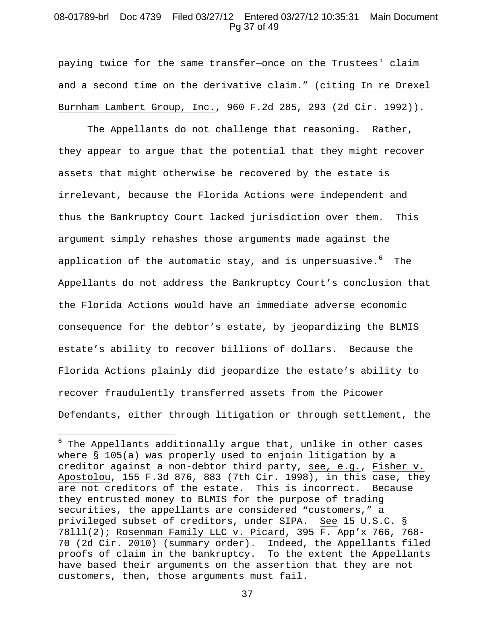## 08-01789-brl Doc 4739 Filed 03/27/12 Entered 03/27/12 10:35:31 Main Document Pg 37 of 49

paying twice for the same transfer—once on the Trustees' claim and a second time on the derivative claim." (citing In re Drexel Burnham Lambert Group, Inc., 960 F.2d 285, 293 (2d Cir. 1992)).

The Appellants do not challenge that reasoning. Rather, they appear to argue that the potential that they might recover assets that might otherwise be recovered by the estate is irrelevant, because the Florida Actions were independent and thus the Bankruptcy Court lacked jurisdiction over them. This argument simply rehashes those arguments made against the application of the automatic stay, and is unpersuasive. $^6$  $^6$  The Appellants do not address the Bankruptcy Court's conclusion that the Florida Actions would have an immediate adverse economic consequence for the debtor's estate, by jeopardizing the BLMIS estate's ability to recover billions of dollars. Because the Florida Actions plainly did jeopardize the estate's ability to recover fraudulently transferred assets from the Picower Defendants, either through litigation or through settlement, the

 $\overline{a}$ 

<span id="page-36-0"></span> $6$  The Appellants additionally argue that, unlike in other cases where § 105(a) was properly used to enjoin litigation by a creditor against a non-debtor third party, see, e.g., Fisher v. Apostolou, 155 F.3d 876, 883 (7th Cir. 1998), in this case, they are not creditors of the estate. This is incorrect. Because they entrusted money to BLMIS for the purpose of trading securities, the appellants are considered "customers," a privileged subset of creditors, under SIPA. See 15 U.S.C. § 78lll(2); Rosenman Family LLC v. Picard, 395 F. App'x 766, 768- 70 (2d Cir. 2010) (summary order). Indeed, the Appellants filed proofs of claim in the bankruptcy. To the extent the Appellants have based their arguments on the assertion that they are not customers, then, those arguments must fail.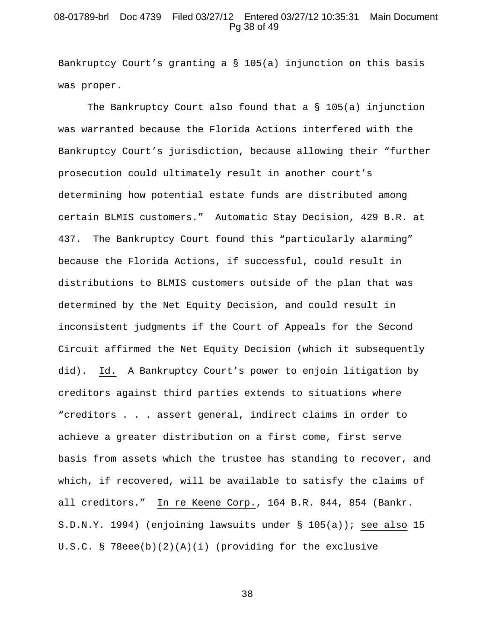## 08-01789-brl Doc 4739 Filed 03/27/12 Entered 03/27/12 10:35:31 Main Document Pg 38 of 49

Bankruptcy Court's granting a § 105(a) injunction on this basis was proper.

The Bankruptcy Court also found that a  $\S$  105(a) injunction was warranted because the Florida Actions interfered with the Bankruptcy Court's jurisdiction, because allowing their "further prosecution could ultimately result in another court's determining how potential estate funds are distributed among certain BLMIS customers." Automatic Stay Decision, 429 B.R. at 437. The Bankruptcy Court found this "particularly alarming" because the Florida Actions, if successful, could result in distributions to BLMIS customers outside of the plan that was determined by the Net Equity Decision, and could result in inconsistent judgments if the Court of Appeals for the Second Circuit affirmed the Net Equity Decision (which it subsequently did). Id. A Bankruptcy Court's power to enjoin litigation by creditors against third parties extends to situations where "creditors . . . assert general, indirect claims in order to achieve a greater distribution on a first come, first serve basis from assets which the trustee has standing to recover, and which, if recovered, will be available to satisfy the claims of all creditors." In re Keene Corp., 164 B.R. 844, 854 (Bankr. S.D.N.Y. 1994) (enjoining lawsuits under § 105(a)); see also 15 U.S.C. § 78eee(b)(2)(A)(i) (providing for the exclusive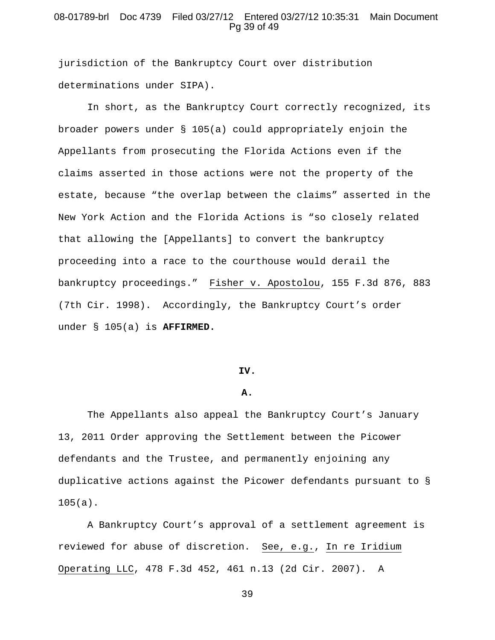# 08-01789-brl Doc 4739 Filed 03/27/12 Entered 03/27/12 10:35:31 Main Document Pg 39 of 49

jurisdiction of the Bankruptcy Court over distribution determinations under SIPA).

In short, as the Bankruptcy Court correctly recognized, its broader powers under § 105(a) could appropriately enjoin the Appellants from prosecuting the Florida Actions even if the claims asserted in those actions were not the property of the estate, because "the overlap between the claims" asserted in the New York Action and the Florida Actions is "so closely related that allowing the [Appellants] to convert the bankruptcy proceeding into a race to the courthouse would derail the bankruptcy proceedings." Fisher v. Apostolou, 155 F.3d 876, 883 (7th Cir. 1998). Accordingly, the Bankruptcy Court's order under § 105(a) is **AFFIRMED.**

#### **IV.**

#### **A.**

The Appellants also appeal the Bankruptcy Court's January 13, 2011 Order approving the Settlement between the Picower defendants and the Trustee, and permanently enjoining any duplicative actions against the Picower defendants pursuant to § 105(a).

A Bankruptcy Court's approval of a settlement agreement is reviewed for abuse of discretion. See, e.g., In re Iridium Operating LLC, 478 F.3d 452, 461 n.13 (2d Cir. 2007). A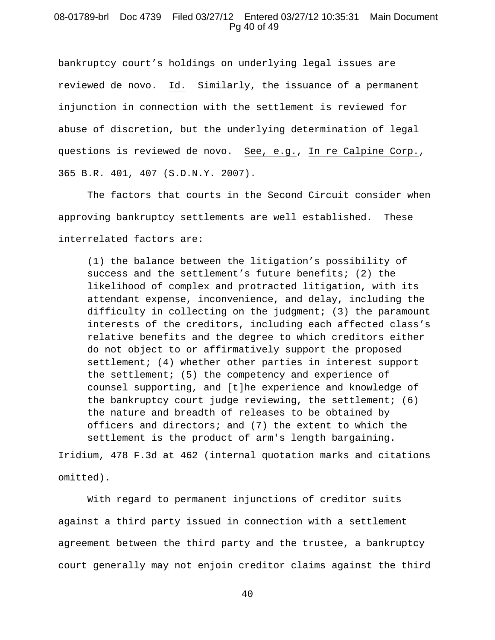### 08-01789-brl Doc 4739 Filed 03/27/12 Entered 03/27/12 10:35:31 Main Document Pg 40 of 49

bankruptcy court's holdings on underlying legal issues are reviewed de novo. Id. Similarly, the issuance of a permanent injunction in connection with the settlement is reviewed for abuse of discretion, but the underlying determination of legal questions is reviewed de novo. See, e.g., In re Calpine Corp., 365 B.R. 401, 407 (S.D.N.Y. 2007).

The factors that courts in the Second Circuit consider when approving bankruptcy settlements are well established. These interrelated factors are:

(1) the balance between the litigation's possibility of success and the settlement's future benefits; (2) the likelihood of complex and protracted litigation, with its attendant expense, inconvenience, and delay, including the difficulty in collecting on the judgment; (3) the paramount interests of the creditors, including each affected class's relative benefits and the degree to which creditors either do not object to or affirmatively support the proposed settlement; (4) whether other parties in interest support the settlement; (5) the competency and experience of counsel supporting, and [t]he experience and knowledge of the bankruptcy court judge reviewing, the settlement; (6) the nature and breadth of releases to be obtained by officers and directors; and (7) the extent to which the settlement is the product of arm's length bargaining.

Iridium, 478 F.3d at 462 (internal quotation marks and citations omitted).

With regard to permanent injunctions of creditor suits against a third party issued in connection with a settlement agreement between the third party and the trustee, a bankruptcy court generally may not enjoin creditor claims against the third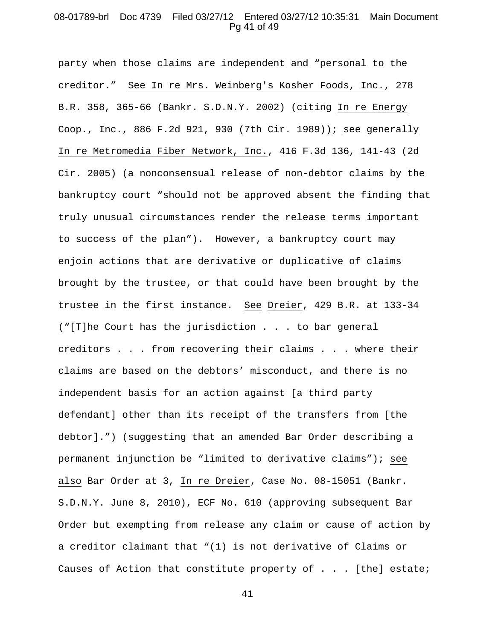# 08-01789-brl Doc 4739 Filed 03/27/12 Entered 03/27/12 10:35:31 Main Document Pg 41 of 49

party when those claims are independent and "personal to the creditor." See In re Mrs. Weinberg's Kosher Foods, Inc., 278 B.R. 358, 365-66 (Bankr. S.D.N.Y. 2002) (citing In re Energy Coop., Inc., 886 F.2d 921, 930 (7th Cir. 1989)); see generally In re Metromedia Fiber Network, Inc., 416 F.3d 136, 141-43 (2d Cir. 2005) (a nonconsensual release of non-debtor claims by the bankruptcy court "should not be approved absent the finding that truly unusual circumstances render the release terms important to success of the plan"). However, a bankruptcy court may enjoin actions that are derivative or duplicative of claims brought by the trustee, or that could have been brought by the trustee in the first instance. See Dreier, 429 B.R. at 133-34 ("[T]he Court has the jurisdiction . . . to bar general creditors . . . from recovering their claims . . . where their claims are based on the debtors' misconduct, and there is no independent basis for an action against [a third party defendant] other than its receipt of the transfers from [the debtor].") (suggesting that an amended Bar Order describing a permanent injunction be "limited to derivative claims"); see also Bar Order at 3, In re Dreier, Case No. 08-15051 (Bankr. S.D.N.Y. June 8, 2010), ECF No. 610 (approving subsequent Bar Order but exempting from release any claim or cause of action by a creditor claimant that "(1) is not derivative of Claims or Causes of Action that constitute property of . . . [the] estate;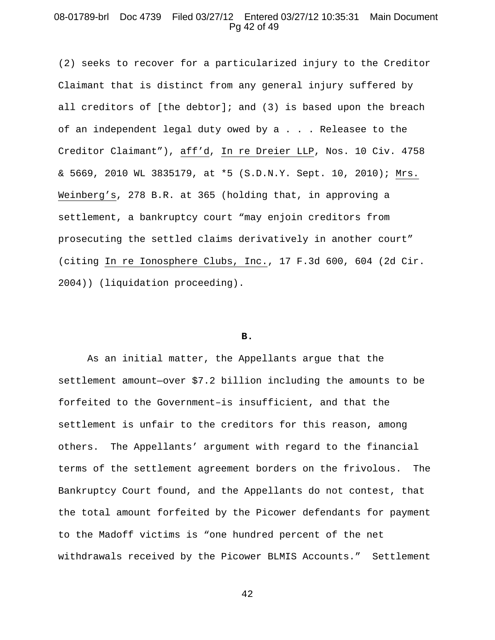# 08-01789-brl Doc 4739 Filed 03/27/12 Entered 03/27/12 10:35:31 Main Document Pg 42 of 49

(2) seeks to recover for a particularized injury to the Creditor Claimant that is distinct from any general injury suffered by all creditors of [the debtor]; and (3) is based upon the breach of an independent legal duty owed by a . . . Releasee to the Creditor Claimant"), aff'd, In re Dreier LLP, Nos. 10 Civ. 4758 & 5669, 2010 WL 3835179, at \*5 (S.D.N.Y. Sept. 10, 2010); Mrs. Weinberg's, 278 B.R. at 365 (holding that, in approving a settlement, a bankruptcy court "may enjoin creditors from prosecuting the settled claims derivatively in another court" (citing In re Ionosphere Clubs, Inc., 17 F.3d 600, 604 (2d Cir. 2004)) (liquidation proceeding).

#### **B.**

As an initial matter, the Appellants argue that the settlement amount—over \$7.2 billion including the amounts to be forfeited to the Government–is insufficient, and that the settlement is unfair to the creditors for this reason, among others. The Appellants' argument with regard to the financial terms of the settlement agreement borders on the frivolous. The Bankruptcy Court found, and the Appellants do not contest, that the total amount forfeited by the Picower defendants for payment to the Madoff victims is "one hundred percent of the net withdrawals received by the Picower BLMIS Accounts." Settlement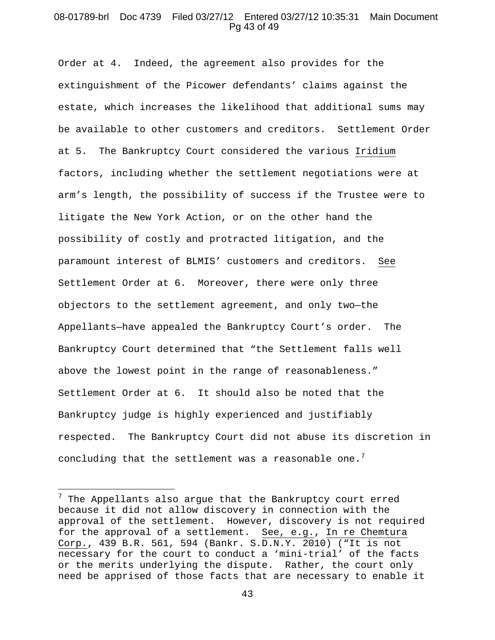#### 08-01789-brl Doc 4739 Filed 03/27/12 Entered 03/27/12 10:35:31 Main Document Pg 43 of 49

Order at 4. Indeed, the agreement also provides for the extinguishment of the Picower defendants' claims against the estate, which increases the likelihood that additional sums may be available to other customers and creditors. Settlement Order at 5. The Bankruptcy Court considered the various Iridium factors, including whether the settlement negotiations were at arm's length, the possibility of success if the Trustee were to litigate the New York Action, or on the other hand the possibility of costly and protracted litigation, and the paramount interest of BLMIS' customers and creditors. See Settlement Order at 6. Moreover, there were only three objectors to the settlement agreement, and only two—the Appellants—have appealed the Bankruptcy Court's order. The Bankruptcy Court determined that "the Settlement falls well above the lowest point in the range of reasonableness." Settlement Order at 6. It should also be noted that the Bankruptcy judge is highly experienced and justifiably respected. The Bankruptcy Court did not abuse its discretion in concluding that the settlement was a reasonable one.<sup>[7](#page-42-0)</sup>

 $\overline{a}$ 

<span id="page-42-0"></span> $7$  The Appellants also argue that the Bankruptcy court erred because it did not allow discovery in connection with the approval of the settlement. However, discovery is not required for the approval of a settlement. See, e.g., In re Chemtura Corp., 439 B.R. 561, 594 (Bankr. S.D.N.Y. 2010) ("It is not necessary for the court to conduct a 'mini-trial' of the facts or the merits underlying the dispute. Rather, the court only need be apprised of those facts that are necessary to enable it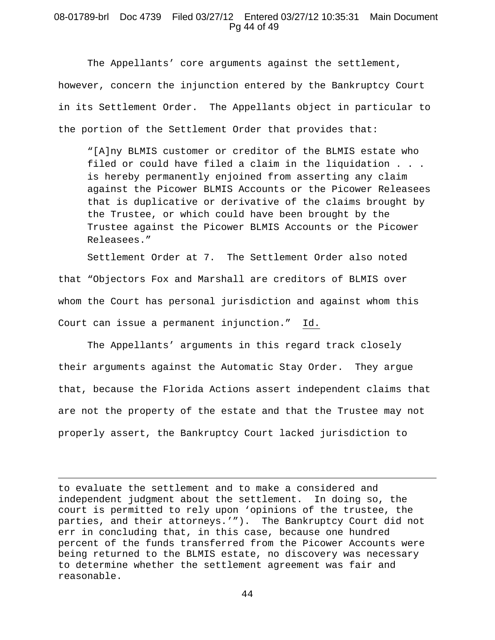# 08-01789-brl Doc 4739 Filed 03/27/12 Entered 03/27/12 10:35:31 Main Document Pg 44 of 49

The Appellants' core arguments against the settlement, however, concern the injunction entered by the Bankruptcy Court in its Settlement Order. The Appellants object in particular to the portion of the Settlement Order that provides that:

"[A]ny BLMIS customer or creditor of the BLMIS estate who filed or could have filed a claim in the liquidation . . . is hereby permanently enjoined from asserting any claim against the Picower BLMIS Accounts or the Picower Releasees that is duplicative or derivative of the claims brought by the Trustee, or which could have been brought by the Trustee against the Picower BLMIS Accounts or the Picower Releasees."

Settlement Order at 7. The Settlement Order also noted that "Objectors Fox and Marshall are creditors of BLMIS over whom the Court has personal jurisdiction and against whom this Court can issue a permanent injunction." Id.

The Appellants' arguments in this regard track closely their arguments against the Automatic Stay Order. They argue that, because the Florida Actions assert independent claims that are not the property of the estate and that the Trustee may not properly assert, the Bankruptcy Court lacked jurisdiction to

to evaluate the settlement and to make a considered and independent judgment about the settlement. In doing so, the court is permitted to rely upon 'opinions of the trustee, the parties, and their attorneys.'"). The Bankruptcy Court did not err in concluding that, in this case, because one hundred percent of the funds transferred from the Picower Accounts were being returned to the BLMIS estate, no discovery was necessary to determine whether the settlement agreement was fair and reasonable.

 $\overline{a}$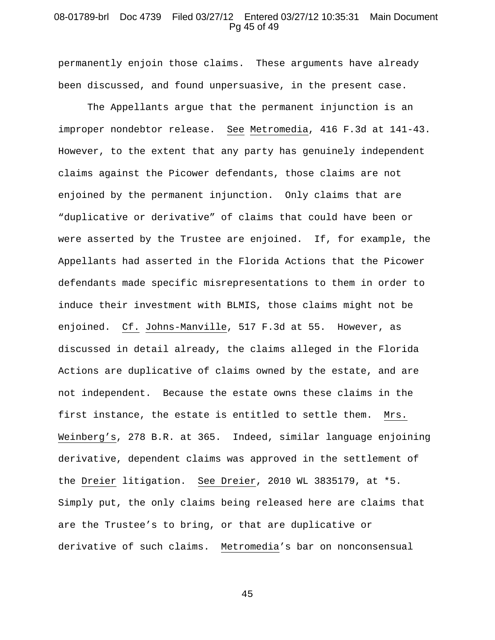#### 08-01789-brl Doc 4739 Filed 03/27/12 Entered 03/27/12 10:35:31 Main Document Pg 45 of 49

permanently enjoin those claims. These arguments have already been discussed, and found unpersuasive, in the present case.

The Appellants argue that the permanent injunction is an improper nondebtor release. See Metromedia, 416 F.3d at 141-43. However, to the extent that any party has genuinely independent claims against the Picower defendants, those claims are not enjoined by the permanent injunction. Only claims that are "duplicative or derivative" of claims that could have been or were asserted by the Trustee are enjoined. If, for example, the Appellants had asserted in the Florida Actions that the Picower defendants made specific misrepresentations to them in order to induce their investment with BLMIS, those claims might not be enjoined. Cf. Johns-Manville, 517 F.3d at 55. However, as discussed in detail already, the claims alleged in the Florida Actions are duplicative of claims owned by the estate, and are not independent. Because the estate owns these claims in the first instance, the estate is entitled to settle them. Mrs. Weinberg's, 278 B.R. at 365. Indeed, similar language enjoining derivative, dependent claims was approved in the settlement of the Dreier litigation. See Dreier, 2010 WL 3835179, at \*5. Simply put, the only claims being released here are claims that are the Trustee's to bring, or that are duplicative or derivative of such claims. Metromedia's bar on nonconsensual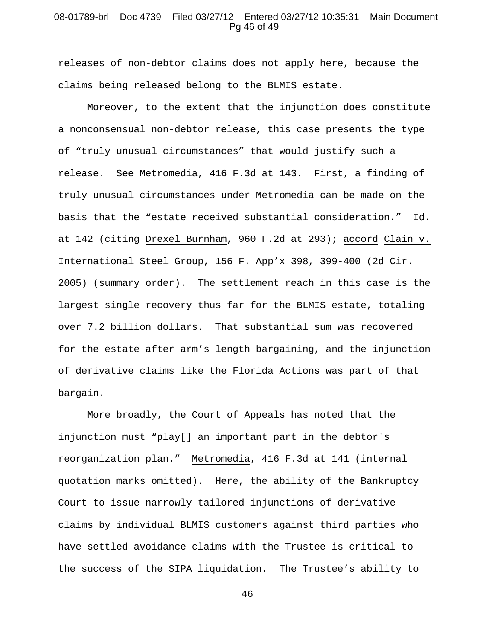### 08-01789-brl Doc 4739 Filed 03/27/12 Entered 03/27/12 10:35:31 Main Document Pg 46 of 49

releases of non-debtor claims does not apply here, because the claims being released belong to the BLMIS estate.

Moreover, to the extent that the injunction does constitute a nonconsensual non-debtor release, this case presents the type of "truly unusual circumstances" that would justify such a release. See Metromedia, 416 F.3d at 143. First, a finding of truly unusual circumstances under Metromedia can be made on the basis that the "estate received substantial consideration." Id. at 142 (citing Drexel Burnham, 960 F.2d at 293); accord Clain v. International Steel Group, 156 F. App'x 398, 399-400 (2d Cir. 2005) (summary order). The settlement reach in this case is the largest single recovery thus far for the BLMIS estate, totaling over 7.2 billion dollars. That substantial sum was recovered for the estate after arm's length bargaining, and the injunction of derivative claims like the Florida Actions was part of that bargain.

More broadly, the Court of Appeals has noted that the injunction must "play[] an important part in the debtor's reorganization plan." Metromedia, 416 F.3d at 141 (internal quotation marks omitted). Here, the ability of the Bankruptcy Court to issue narrowly tailored injunctions of derivative claims by individual BLMIS customers against third parties who have settled avoidance claims with the Trustee is critical to the success of the SIPA liquidation. The Trustee's ability to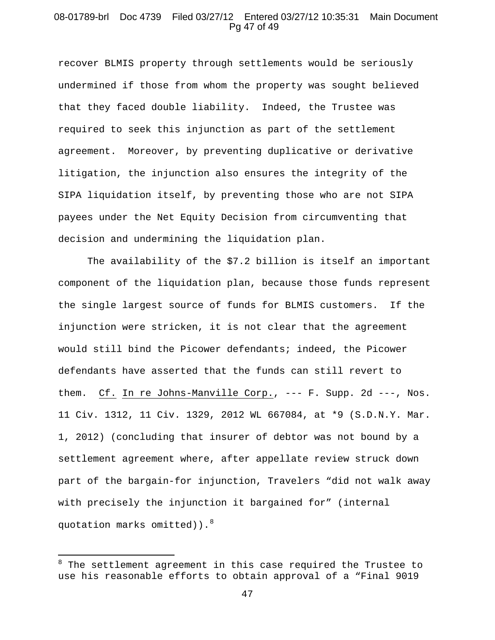#### 08-01789-brl Doc 4739 Filed 03/27/12 Entered 03/27/12 10:35:31 Main Document Pg 47 of 49

recover BLMIS property through settlements would be seriously undermined if those from whom the property was sought believed that they faced double liability. Indeed, the Trustee was required to seek this injunction as part of the settlement agreement. Moreover, by preventing duplicative or derivative litigation, the injunction also ensures the integrity of the SIPA liquidation itself, by preventing those who are not SIPA payees under the Net Equity Decision from circumventing that decision and undermining the liquidation plan.

The availability of the \$7.2 billion is itself an important component of the liquidation plan, because those funds represent the single largest source of funds for BLMIS customers. If the injunction were stricken, it is not clear that the agreement would still bind the Picower defendants; indeed, the Picower defendants have asserted that the funds can still revert to them. Cf. In re Johns-Manville Corp., --- F. Supp. 2d ---, Nos. 11 Civ. 1312, 11 Civ. 1329, 2012 WL 667084, at \*9 (S.D.N.Y. Mar. 1, 2012) (concluding that insurer of debtor was not bound by a settlement agreement where, after appellate review struck down part of the bargain-for injunction, Travelers "did not walk away with precisely the injunction it bargained for" (internal quotation marks omitted)). $^{8}$  $^{8}$  $^{8}$ 

 $\overline{a}$ 

<span id="page-46-0"></span> $^8$  The settlement agreement in this case required the Trustee to use his reasonable efforts to obtain approval of a "Final 9019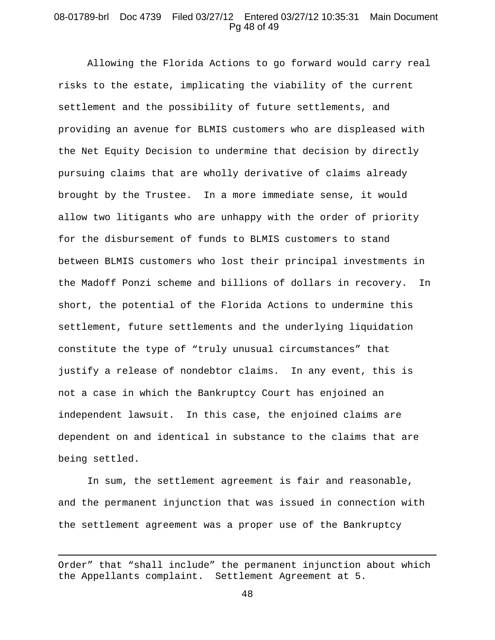# 08-01789-brl Doc 4739 Filed 03/27/12 Entered 03/27/12 10:35:31 Main Document Pg 48 of 49

Allowing the Florida Actions to go forward would carry real risks to the estate, implicating the viability of the current settlement and the possibility of future settlements, and providing an avenue for BLMIS customers who are displeased with the Net Equity Decision to undermine that decision by directly pursuing claims that are wholly derivative of claims already brought by the Trustee. In a more immediate sense, it would allow two litigants who are unhappy with the order of priority for the disbursement of funds to BLMIS customers to stand between BLMIS customers who lost their principal investments in the Madoff Ponzi scheme and billions of dollars in recovery. In short, the potential of the Florida Actions to undermine this settlement, future settlements and the underlying liquidation constitute the type of "truly unusual circumstances" that justify a release of nondebtor claims. In any event, this is not a case in which the Bankruptcy Court has enjoined an independent lawsuit. In this case, the enjoined claims are dependent on and identical in substance to the claims that are being settled.

In sum, the settlement agreement is fair and reasonable, and the permanent injunction that was issued in connection with the settlement agreement was a proper use of the Bankruptcy

 $\overline{a}$ 

Order" that "shall include" the permanent injunction about which the Appellants complaint. Settlement Agreement at 5.